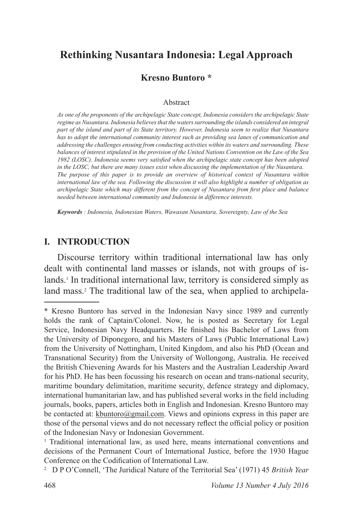# **Rethinking Nusantara Indonesia: Legal Approach**

### **Kresno Buntoro \***

#### Abstract

*As one of the proponents of the archipelagic State concept, Indonesia considers the archipelagic State regime as Nusantara. Indonesia believes that the waters surrounding the islands considered an integral part of the island and part of its State territory. However, Indonesia seem to realize that Nusantara has to adopt the international community interest such as providing sea lanes of communication and addressing the challenges ensuing from conducting activities within its waters and surrounding. These balances of interest stipulated in the provision of the United Nations Convention on the Law of the Sea 1982 (LOSC). Indonesia seems very satisfied when the archipelagic state concept has been adopted in the LOSC, but there are many issues exist when discussing the implementation of the Nusantara. The purpose of this paper is to provide an overview of historical context of Nusantara within international law of the sea. Following the discussion it will also highlight a number of obligation as archipelagic State which may different from the concept of Nusantara from first place and balance needed between international community and Indonesia in difference interests.*

*Keywords : Indonesia, Indonesian Waters, Wawasan Nusantara, Sovereignty, Law of the Sea*

#### **I. INTRODUCTION**

Discourse territory within traditional international law has only dealt with continental land masses or islands, not with groups of islands.<sup>1</sup> In traditional international law, territory is considered simply as land mass.<sup>2</sup> The traditional law of the sea, when applied to archipela-

<sup>\*</sup> Kresno Buntoro has served in the Indonesian Navy since 1989 and currently holds the rank of Captain/Colonel. Now, he is posted as Secretary for Legal Service, Indonesian Navy Headquarters. He finished his Bachelor of Laws from the University of Diponegoro, and his Masters of Laws (Public International Law) from the University of Nottingham, United Kingdom, and also his PhD (Ocean and Transnational Security) from the University of Wollongong, Australia. He received the British Chievening Awards for his Masters and the Australian Leadership Award for his PhD. He has been focussing his research on ocean and trans-national security, maritime boundary delimitation, maritime security, defence strategy and diplomacy, international humanitarian law, and has published several works in the field including journals, books, papers, articles both in English and Indonesian. Kresno Buntoro may be contacted at: kbuntoro $@$ gmail.com. Views and opinions express in this paper are those of the personal views and do not necessary reflect the official policy or position of the Indonesian Navy or Indonesian Government.

<sup>&</sup>lt;sup>1</sup> Traditional international law, as used here, means international conventions and decisions of the Permanent Court of International Justice, before the 1930 Hague Conference on the Codification of International Law.

<sup>2</sup> D P O'Connell, 'The Juridical Nature of the Territorial Sea' (1971) 45 *British Year*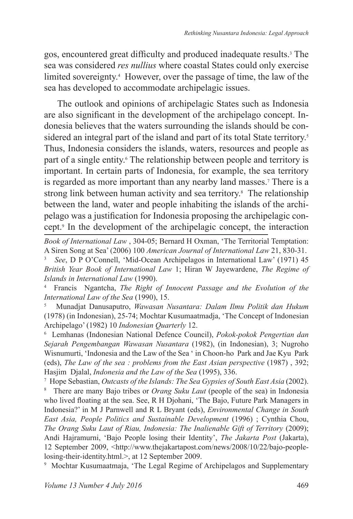gos, encountered great difficulty and produced inadequate results.<sup>3</sup> The sea was considered *res nullius* where coastal States could only exercise limited sovereignty.<sup>4</sup> However, over the passage of time, the law of the sea has developed to accommodate archipelagic issues.

The outlook and opinions of archipelagic States such as Indonesia are also significant in the development of the archipelago concept. Indonesia believes that the waters surrounding the islands should be considered an integral part of the island and part of its total State territory.<sup>5</sup> Thus, Indonesia considers the islands, waters, resources and people as part of a single entity.<sup>6</sup> The relationship between people and territory is important. In certain parts of Indonesia, for example, the sea territory is regarded as more important than any nearby land masses.<sup>7</sup> There is a strong link between human activity and sea territory.<sup>8</sup> The relationship between the land, water and people inhabiting the islands of the archipelago was a justification for Indonesia proposing the archipelagic concept.<sup>9</sup> In the development of the archipelagic concept, the interaction

*Book of International Law* , 304-05; Bernard H Oxman, 'The Territorial Temptation: A Siren Song at Sea' (2006) 100 *American Journal of International Law* 21, 830-31.

3 *See*, D P O'Connell, 'Mid-Ocean Archipelagos in International Law' (1971) 45 *British Year Book of International Law* 1; Hiran W Jayewardene, *The Regime of Islands in International Law* (1990).

4 Francis Ngantcha, *The Right of Innocent Passage and the Evolution of the International Law of the Sea* (1990), 15.

5 Munadjat Danusaputro, *Wawasan Nusantara: Dalam Ilmu Politik dan Hukum* (1978) (in Indonesian), 25-74; Mochtar Kusumaatmadja, 'The Concept of Indonesian Archipelago' (1982) 10 *Indonesian Quarterly* 12.

6 Lemhanas (Indonesian National Defence Council), *Pokok-pokok Pengertian dan Sejarah Pengembangan Wawasan Nusantara* (1982), (in Indonesian), 3; Nugroho Wisnumurti, 'Indonesia and the Law of the Sea ' in Choon-ho Park and Jae Kyu Park (eds), *The Law of the sea : problems from the East Asian perspective* (1987), 392; Hasjim Djalal, *Indonesia and the Law of the Sea* (1995), 336.

7 Hope Sebastian, *Outcasts of the Islands: The Sea Gypsies of South East Asia* (2002).

8 There are many Bajo tribes or *Orang Suku Laut* (people of the sea) in Indonesia who lived floating at the sea. See, R H Djohani, 'The Bajo, Future Park Managers in Indonesia?' in M J Parnwell and R L Bryant (eds), *Environmental Change in South East Asia, People Politics and Sustainable Development* (1996) ; Cynthia Chou, *The Orang Suku Laut of Riau, Indonesia: The Inalienable Gift of Territory* (2009); Andi Hajramurni, 'Bajo People losing their Identity', *The Jakarta Post* (Jakarta), 12 September 2009, <http://www.thejakartapost.com/news/2008/10/22/bajo-peoplelosing-their-identity.html.>, at 12 September 2009.

9 Mochtar Kusumaatmaja, 'The Legal Regime of Archipelagos and Supplementary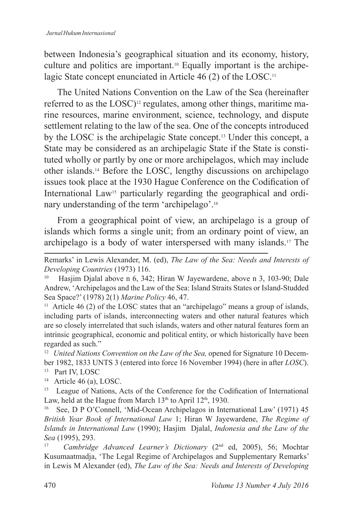between Indonesia's geographical situation and its economy, history, culture and politics are important.<sup>10</sup> Equally important is the archipelagic State concept enunciated in Article 46 (2) of the LOSC.<sup>11</sup>

The United Nations Convention on the Law of the Sea (hereinafter referred to as the LOSC)<sup>12</sup> regulates, among other things, maritime marine resources, marine environment, science, technology, and dispute settlement relating to the law of the sea. One of the concepts introduced by the LOSC is the archipelagic State concept.13 Under this concept, a State may be considered as an archipelagic State if the State is constituted wholly or partly by one or more archipelagos, which may include other islands.14 Before the LOSC, lengthy discussions on archipelago issues took place at the 1930 Hague Conference on the Codification of International Law15 particularly regarding the geographical and ordinary understanding of the term 'archipelago'.<sup>16</sup>

From a geographical point of view, an archipelago is a group of islands which forms a single unit; from an ordinary point of view, an archipelago is a body of water interspersed with many islands.17 The

<sup>13</sup> Part IV, LOSC

<sup>14</sup> Article 46 (a), LOSC.

<sup>15</sup> League of Nations, Acts of the Conference for the Codification of International Law, held at the Hague from March  $13<sup>th</sup>$  to April  $12<sup>th</sup>$ , 1930.

See, D P O'Connell, 'Mid-Ocean Archipelagos in International Law' (1971) 45 *British Year Book of International Law* 1; Hiran W Jayewardene, *The Regime of Islands in International Law* (1990); Hasjim Djalal, *Indonesia and the Law of the Sea* (1995), 293.

17 *Cambridge Advanced Learner's Dictionary* (2nd ed, 2005), 56; Mochtar Kusumaatmadja, 'The Legal Regime of Archipelagos and Supplementary Remarks' in Lewis M Alexander (ed), *The Law of the Sea: Needs and Interests of Developing* 

Remarks' in Lewis Alexander, M. (ed), *The Law of the Sea: Needs and Interests of Developing Countries* (1973) 116.

Hasjim Djalal above n 6, 342; Hiran W Jayewardene, above n 3, 103-90; Dale Andrew, 'Archipelagos and the Law of the Sea: Island Straits States or Island-Studded Sea Space?' (1978) 2(1) *Marine Policy* 46, 47.

<sup>&</sup>lt;sup>11</sup> Article 46 (2) of the LOSC states that an "archipelago" means a group of islands, including parts of islands, interconnecting waters and other natural features which are so closely interrelated that such islands, waters and other natural features form an intrinsic geographical, economic and political entity, or which historically have been regarded as such."

<sup>&</sup>lt;sup>12</sup> United Nations Convention on the Law of the Sea, opened for Signature 10 December 1982, 1833 UNTS 3 (entered into force 16 November 1994) (here in after *LOSC*).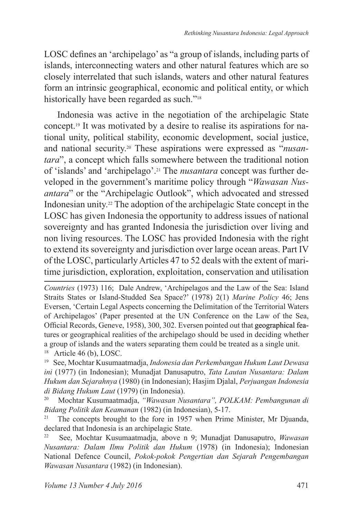LOSC defines an 'archipelago' as "a group of islands, including parts of islands, interconnecting waters and other natural features which are so closely interrelated that such islands, waters and other natural features form an intrinsic geographical, economic and political entity, or which historically have been regarded as such."<sup>18</sup>

Indonesia was active in the negotiation of the archipelagic State concept.19 It was motivated by a desire to realise its aspirations for national unity, political stability, economic development, social justice, and national security.20 These aspirations were expressed as "*nusantara*", a concept which falls somewhere between the traditional notion of 'islands' and 'archipelago'.21 The *nusantara* concept was further developed in the government's maritime policy through "*Wawasan Nusantara*" or the "Archipelagic Outlook", which advocated and stressed Indonesian unity.22 The adoption of the archipelagic State concept in the LOSC has given Indonesia the opportunity to address issues of national sovereignty and has granted Indonesia the jurisdiction over living and non living resources. The LOSC has provided Indonesia with the right to extend its sovereignty and jurisdiction over large ocean areas. Part IV of the LOSC, particularly Articles 47 to 52 deals with the extent of maritime jurisdiction, exploration, exploitation, conservation and utilisation

*Countries* (1973) 116; Dale Andrew, 'Archipelagos and the Law of the Sea: Island Straits States or Island-Studded Sea Space?' (1978) 2(1) *Marine Policy* 46; Jens Eversen, 'Certain Legal Aspects concerning the Delimitation of the Territorial Waters of Archipelagos' (Paper presented at the UN Conference on the Law of the Sea, Official Records, Geneve, 1958), 300, 302. Eversen pointed out that geographical features or geographical realities of the archipelago should be used in deciding whether a group of islands and the waters separating them could be treated as a single unit.  $18$  Article 46 (b), LOSC.

<sup>19</sup> See, Mochtar Kusumaatmadja, *Indonesia dan Perkembangan Hukum Laut Dewasa ini* (1977) (in Indonesian); Munadjat Danusaputro, *Tata Lautan Nusantara: Dalam Hukum dan Sejarahnya* (1980) (in Indonesian); Hasjim Djalal, *Perjuangan Indonesia di Bidang Hukum Laut* (1979) (in Indonesia).

<sup>20</sup> Mochtar Kusumaatmadja, *"Wawasan Nusantara", POLKAM: Pembangunan di Bidang Politik dan Keamanan* (1982) (in Indonesian), 5-17.<br><sup>21</sup> The concents brought to the fore in 1957 when Prime

The concepts brought to the fore in 1957 when Prime Minister, Mr Djuanda, declared that Indonesia is an archipelagic State.

<sup>22</sup> See, Mochtar Kusumaatmadja, above n 9; Munadjat Danusaputro, *Wawasan Nusantara: Dalam Ilmu Politik dan Hukum* (1978) (in Indonesia); Indonesian National Defence Council, *Pokok-pokok Pengertian dan Sejarah Pengembangan Wawasan Nusantara* (1982) (in Indonesian).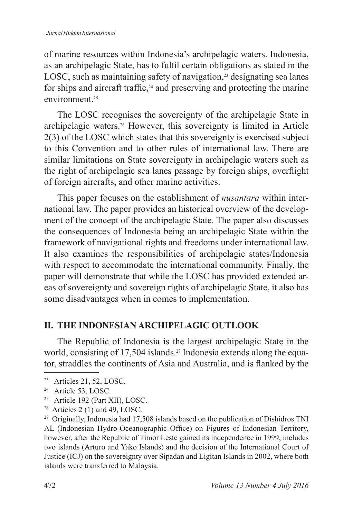of marine resources within Indonesia's archipelagic waters. Indonesia, as an archipelagic State, has to fulfil certain obligations as stated in the LOSC, such as maintaining safety of navigation, $2<sup>3</sup>$  designating sea lanes for ships and aircraft traffic, $24$  and preserving and protecting the marine environment<sup>25</sup>

The LOSC recognises the sovereignty of the archipelagic State in archipelagic waters.26 However, this sovereignty is limited in Article 2(3) of the LOSC which states that this sovereignty is exercised subject to this Convention and to other rules of international law. There are similar limitations on State sovereignty in archipelagic waters such as the right of archipelagic sea lanes passage by foreign ships, overflight of foreign aircrafts, and other marine activities.

This paper focuses on the establishment of *nusantara* within international law. The paper provides an historical overview of the development of the concept of the archipelagic State. The paper also discusses the consequences of Indonesia being an archipelagic State within the framework of navigational rights and freedoms under international law. It also examines the responsibilities of archipelagic states/Indonesia with respect to accommodate the international community. Finally, the paper will demonstrate that while the LOSC has provided extended areas of sovereignty and sovereign rights of archipelagic State, it also has some disadvantages when in comes to implementation.

## **II. THE INDONESIAN ARCHIPELAGIC OUTLOOK**

The Republic of Indonesia is the largest archipelagic State in the world, consisting of 17,504 islands.<sup>27</sup> Indonesia extends along the equator, straddles the continents of Asia and Australia, and is flanked by the

<sup>23</sup> Articles 21, 52, LOSC.

<sup>&</sup>lt;sup>24</sup> Article 53, LOSC.

<sup>25</sup> Article 192 (Part XII), LOSC.

 $26$  Articles 2 (1) and 49, LOSC.

<sup>&</sup>lt;sup>27</sup> Originally, Indonesia had 17,508 islands based on the publication of Dishidros TNI AL (Indonesian Hydro-Oceanographic Office) on Figures of Indonesian Territory, however, after the Republic of Timor Leste gained its independence in 1999, includes two islands (Arturo and Yako Islands) and the decision of the International Court of Justice (ICJ) on the sovereignty over Sipadan and Ligitan Islands in 2002, where both islands were transferred to Malaysia.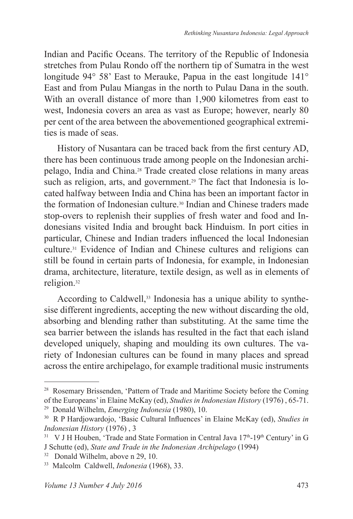Indian and Pacific Oceans. The territory of the Republic of Indonesia stretches from Pulau Rondo off the northern tip of Sumatra in the west longitude 94° 58' East to Merauke, Papua in the east longitude 141° East and from Pulau Miangas in the north to Pulau Dana in the south. With an overall distance of more than 1,900 kilometres from east to west, Indonesia covers an area as vast as Europe; however, nearly 80 per cent of the area between the abovementioned geographical extremities is made of seas.

History of Nusantara can be traced back from the first century AD, there has been continuous trade among people on the Indonesian archipelago, India and China.28 Trade created close relations in many areas such as religion, arts, and government.<sup>29</sup> The fact that Indonesia is located halfway between India and China has been an important factor in the formation of Indonesian culture.30 Indian and Chinese traders made stop-overs to replenish their supplies of fresh water and food and Indonesians visited India and brought back Hinduism. In port cities in particular, Chinese and Indian traders influenced the local Indonesian culture.31 Evidence of Indian and Chinese cultures and religions can still be found in certain parts of Indonesia, for example, in Indonesian drama, architecture, literature, textile design, as well as in elements of religion.<sup>32</sup>

According to Caldwell,<sup>33</sup> Indonesia has a unique ability to synthesise different ingredients, accepting the new without discarding the old, absorbing and blending rather than substituting. At the same time the sea barrier between the islands has resulted in the fact that each island developed uniquely, shaping and moulding its own cultures. The variety of Indonesian cultures can be found in many places and spread across the entire archipelago, for example traditional music instruments

<sup>&</sup>lt;sup>28</sup> Rosemary Brissenden, 'Pattern of Trade and Maritime Society before the Coming of the Europeans' in Elaine McKay (ed), *Studies in Indonesian History* (1976) , 65-71.

<sup>29</sup> Donald Wilhelm, *Emerging Indonesia* (1980), 10.

<sup>30</sup> R P Hardjowardojo, 'Basic Cultural Influences' in Elaine McKay (ed), *Studies in Indonesian History* (1976) , 3

 $31$  V J H Houben, 'Trade and State Formation in Central Java  $17<sup>th</sup>$ -19<sup>th</sup> Century' in G J Schutte (ed), *State and Trade in the Indonesian Archipelago* (1994)

<sup>32</sup> Donald Wilhelm, above n 29, 10.

<sup>33</sup> Malcolm Caldwell, *Indonesia* (1968), 33.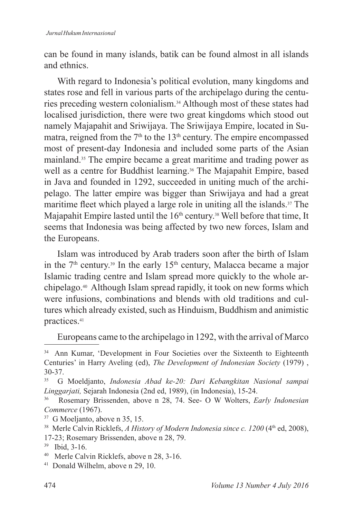can be found in many islands, batik can be found almost in all islands and ethnics.

With regard to Indonesia's political evolution, many kingdoms and states rose and fell in various parts of the archipelago during the centuries preceding western colonialism.34 Although most of these states had localised jurisdiction, there were two great kingdoms which stood out namely Majapahit and Sriwijaya. The Sriwijaya Empire, located in Sumatra, reigned from the  $7<sup>th</sup>$  to the 13<sup>th</sup> century. The empire encompassed most of present-day Indonesia and included some parts of the Asian mainland.35 The empire became a great maritime and trading power as well as a centre for Buddhist learning.<sup>36</sup> The Majapahit Empire, based in Java and founded in 1292, succeeded in uniting much of the archipelago. The latter empire was bigger than Sriwijaya and had a great maritime fleet which played a large role in uniting all the islands.<sup>37</sup> The Majapahit Empire lasted until the 16<sup>th</sup> century.<sup>38</sup> Well before that time, It seems that Indonesia was being affected by two new forces, Islam and the Europeans.

Islam was introduced by Arab traders soon after the birth of Islam in the  $7<sup>th</sup>$  century.<sup>39</sup> In the early 15<sup>th</sup> century, Malacca became a major Islamic trading centre and Islam spread more quickly to the whole archipelago.40 Although Islam spread rapidly, it took on new forms which were infusions, combinations and blends with old traditions and cultures which already existed, such as Hinduism, Buddhism and animistic practices.<sup>41</sup>

Europeans came to the archipelago in 1292, with the arrival of Marco

<sup>34</sup> Ann Kumar, 'Development in Four Societies over the Sixteenth to Eighteenth Centuries' in Harry Aveling (ed), *The Development of Indonesian Society* (1979) ,  $30-37.$ 

<sup>35</sup> G Moeldjanto, *Indonesia Abad ke-20: Dari Kebangkitan Nasional sampai Linggarjati,* Sejarah Indonesia (2nd ed, 1989), (in Indonesia), 15-24.

<sup>36</sup> Rosemary Brissenden, above n 28, 74. See- O W Wolters, *Early Indonesian Commerce* (1967).

<sup>37</sup> G Moeljanto, above n 35, 15.

<sup>&</sup>lt;sup>38</sup> Merle Calvin Ricklefs, *A History of Modern Indonesia since c. 1200* (4<sup>th</sup> ed, 2008), 17-23; Rosemary Brissenden, above n 28, 79.

<sup>39</sup> Ibid, 3-16.

<sup>40</sup> Merle Calvin Ricklefs, above n 28, 3-16.

<sup>41</sup> Donald Wilhelm, above n 29, 10.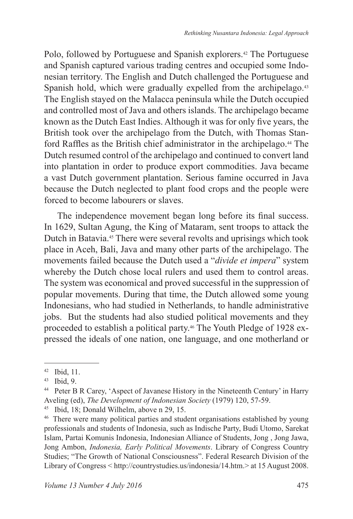Polo, followed by Portuguese and Spanish explorers.<sup>42</sup> The Portuguese and Spanish captured various trading centres and occupied some Indonesian territory. The English and Dutch challenged the Portuguese and Spanish hold, which were gradually expelled from the archipelago.<sup>43</sup> The English stayed on the Malacca peninsula while the Dutch occupied and controlled most of Java and others islands. The archipelago became known as the Dutch East Indies. Although it was for only five years, the British took over the archipelago from the Dutch, with Thomas Stanford Raffles as the British chief administrator in the archipelago.<sup>44</sup> The Dutch resumed control of the archipelago and continued to convert land into plantation in order to produce export commodities. Java became a vast Dutch government plantation. Serious famine occurred in Java because the Dutch neglected to plant food crops and the people were forced to become labourers or slaves.

The independence movement began long before its final success. In 1629, Sultan Agung, the King of Mataram, sent troops to attack the Dutch in Batavia.45 There were several revolts and uprisings which took place in Aceh, Bali, Java and many other parts of the archipelago. The movements failed because the Dutch used a "*divide et impera*" system whereby the Dutch chose local rulers and used them to control areas. The system was economical and proved successful in the suppression of popular movements. During that time, the Dutch allowed some young Indonesians, who had studied in Netherlands, to handle administrative jobs. But the students had also studied political movements and they proceeded to establish a political party.46 The Youth Pledge of 1928 expressed the ideals of one nation, one language, and one motherland or

<sup>42</sup> Ibid, 11.

<sup>43</sup> Ibid, 9.

<sup>44</sup> Peter B R Carey, 'Aspect of Javanese History in the Nineteenth Century' in Harry Aveling (ed), *The Development of Indonesian Society* (1979) 120, 57-59.

<sup>45</sup> Ibid, 18; Donald Wilhelm, above n 29, 15.

<sup>46</sup> There were many political parties and student organisations established by young professionals and students of Indonesia, such as Indische Party, Budi Utomo, Sarekat Islam, Partai Komunis Indonesia, Indonesian Alliance of Students, Jong , Jong Jawa, Jong Ambon, *Indonesia, Early Political Movements*. Library of Congress Country Studies; "The Growth of National Consciousness". Federal Research Division of the Library of Congress < http://countrystudies.us/indonesia/14.htm.> at 15 August 2008.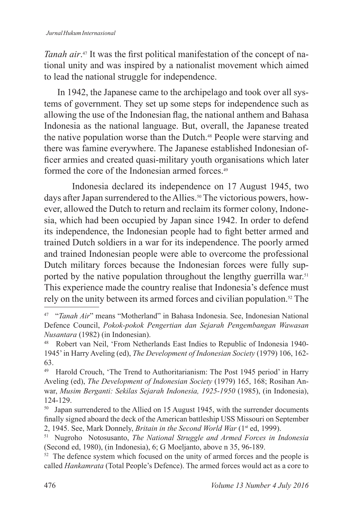*Tanah air*. 47 It was the first political manifestation of the concept of national unity and was inspired by a nationalist movement which aimed to lead the national struggle for independence.

In 1942, the Japanese came to the archipelago and took over all systems of government. They set up some steps for independence such as allowing the use of the Indonesian flag, the national anthem and Bahasa Indonesia as the national language. But, overall, the Japanese treated the native population worse than the Dutch.48 People were starving and there was famine everywhere. The Japanese established Indonesian officer armies and created quasi-military youth organisations which later formed the core of the Indonesian armed forces.<sup>49</sup>

 Indonesia declared its independence on 17 August 1945, two days after Japan surrendered to the Allies.<sup>50</sup> The victorious powers, however, allowed the Dutch to return and reclaim its former colony, Indonesia, which had been occupied by Japan since 1942. In order to defend its independence, the Indonesian people had to fight better armed and trained Dutch soldiers in a war for its independence. The poorly armed and trained Indonesian people were able to overcome the professional Dutch military forces because the Indonesian forces were fully supported by the native population throughout the lengthy guerrilla war.<sup>51</sup> This experience made the country realise that Indonesia's defence must rely on the unity between its armed forces and civilian population.52 The

<sup>47</sup> "*Tanah Air*" means "Motherland" in Bahasa Indonesia. See, Indonesian National Defence Council, *Pokok-pokok Pengertian dan Sejarah Pengembangan Wawasan Nusantara* (1982) (in Indonesian).

<sup>48</sup> Robert van Neil, 'From Netherlands East Indies to Republic of Indonesia 1940- 1945' in Harry Aveling (ed), *The Development of Indonesian Society* (1979) 106, 162- 63.

<sup>49</sup> Harold Crouch, 'The Trend to Authoritarianism: The Post 1945 period' in Harry Aveling (ed), *The Development of Indonesian Society* (1979) 165, 168; Rosihan Anwar, *Musim Berganti: Sekilas Sejarah Indonesia, 1925-1950* (1985), (in Indonesia), 124-129.

<sup>&</sup>lt;sup>50</sup> Japan surrendered to the Allied on 15 August 1945, with the surrender documents finally signed aboard the deck of the American battleship USS Missouri on September 2, 1945. See, Mark Donnely, *Britain in the Second World War* (1st ed, 1999).

<sup>51</sup> Nugroho Notosusanto, *The National Struggle and Armed Forces in Indonesia* (Second ed, 1980), (in Indonesia), 6; G Moeljanto, above n 35, 96-189.

<sup>&</sup>lt;sup>52</sup> The defence system which focused on the unity of armed forces and the people is called *Hankamrata* (Total People's Defence). The armed forces would act as a core to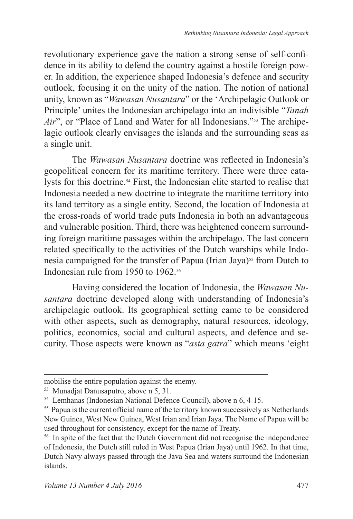revolutionary experience gave the nation a strong sense of self-confidence in its ability to defend the country against a hostile foreign power. In addition, the experience shaped Indonesia's defence and security outlook, focusing it on the unity of the nation. The notion of national unity, known as "*Wawasan Nusantara*" or the 'Archipelagic Outlook or Principle' unites the Indonesian archipelago into an indivisible "*Tanah Air*", or "Place of Land and Water for all Indonesians."<sup>53</sup> The archipelagic outlook clearly envisages the islands and the surrounding seas as a single unit.

 The *Wawasan Nusantara* doctrine was reflected in Indonesia's geopolitical concern for its maritime territory. There were three catalysts for this doctrine.<sup>54</sup> First, the Indonesian elite started to realise that Indonesia needed a new doctrine to integrate the maritime territory into its land territory as a single entity. Second, the location of Indonesia at the cross-roads of world trade puts Indonesia in both an advantageous and vulnerable position. Third, there was heightened concern surrounding foreign maritime passages within the archipelago. The last concern related specifically to the activities of the Dutch warships while Indonesia campaigned for the transfer of Papua (Irian Jaya)<sup>55</sup> from Dutch to Indonesian rule from 1950 to 1962<sup>56</sup>

 Having considered the location of Indonesia, the *Wawasan Nusantara* doctrine developed along with understanding of Indonesia's archipelagic outlook. Its geographical setting came to be considered with other aspects, such as demography, natural resources, ideology, politics, economics, social and cultural aspects, and defence and security. Those aspects were known as "*asta gatra*" which means 'eight

mobilise the entire population against the enemy.

<sup>53</sup> Munadjat Danusaputro, above n 5, 31.

<sup>54</sup> Lemhanas (Indonesian National Defence Council), above n 6, 4-15.

<sup>&</sup>lt;sup>55</sup> Papua is the current official name of the territory known successively as Netherlands New Guinea, West New Guinea, West Irian and Irian Jaya. The Name of Papua will be used throughout for consistency, except for the name of Treaty.

<sup>56</sup> In spite of the fact that the Dutch Government did not recognise the independence of Indonesia, the Dutch still ruled in West Papua (Irian Jaya) until 1962. In that time, Dutch Navy always passed through the Java Sea and waters surround the Indonesian islands.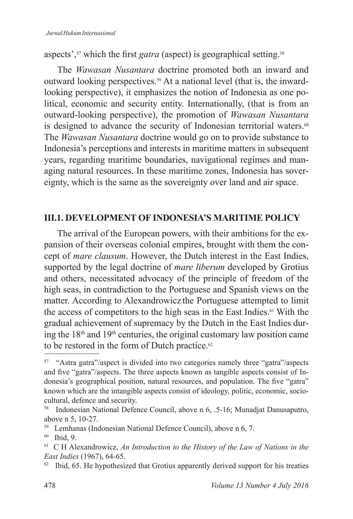aspects',<sup>57</sup> which the first *gatra* (aspect) is geographical setting.<sup>58</sup>

The *Wawasan Nusantara* doctrine promoted both an inward and outward looking perspectives.59 At a national level (that is, the inwardlooking perspective), it emphasizes the notion of Indonesia as one political, economic and security entity. Internationally, (that is from an outward-looking perspective), the promotion of *Wawasan Nusantara* is designed to advance the security of Indonesian territorial waters.<sup>60</sup> The *Wawasan Nusantara* doctrine would go on to provide substance to Indonesia's perceptions and interests in maritime matters in subsequent years, regarding maritime boundaries, navigational regimes and managing natural resources. In these maritime zones, Indonesia has sovereignty, which is the same as the sovereignty over land and air space.

### **III .1 . DEVELOPMENT OF INDONESIA'S MARITIME POLICY**

The arrival of the European powers, with their ambitions for the expansion of their overseas colonial empires, brought with them the concept of *mare clausum*. However, the Dutch interest in the East Indies, supported by the legal doctrine of *mare liberum* developed by Grotius and others, necessitated advocacy of the principle of freedom of the high seas, in contradiction to the Portuguese and Spanish views on the matter. According to Alexandrowicz the Portuguese attempted to limit the access of competitors to the high seas in the East Indies.61 With the gradual achievement of supremacy by the Dutch in the East Indies during the 18th and 19th centuries, the original customary law position came to be restored in the form of Dutch practice. $62$ 

<sup>57</sup> "Astra gatra"/aspect is divided into two categories namely three "gatra"/aspects and five "gatra"/aspects. The three aspects known as tangible aspects consist of Indonesia's geographical position, natural resources, and population. The five "gatra" known which are the intangible aspects consist of ideology, politic, economic, sociocultural, defence and security.

<sup>58</sup> Indonesian National Defence Council, above n 6, .5-16; Munadjat Danusaputro, above n 5, 10-27.

<sup>59</sup> Lemhanas (Indonesian National Defence Council), above n 6, 7.

<sup>60</sup> Ibid, 9.

<sup>61</sup> C H Alexandrowicz, *An Introduction to the History of the Law of Nations in the East Indies* (1967), 64-65.

<sup>&</sup>lt;sup>62</sup> Ibid, 65. He hypothesized that Grotius apparently derived support for his treaties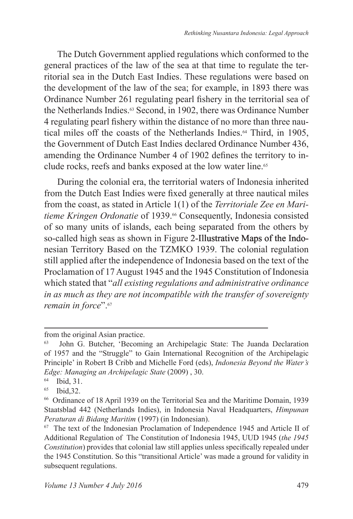The Dutch Government applied regulations which conformed to the general practices of the law of the sea at that time to regulate the territorial sea in the Dutch East Indies. These regulations were based on the development of the law of the sea; for example, in 1893 there was Ordinance Number 261 regulating pearl fishery in the territorial sea of the Netherlands Indies.<sup>63</sup> Second, in 1902, there was Ordinance Number 4 regulating pearl fishery within the distance of no more than three nautical miles off the coasts of the Netherlands Indies.<sup>64</sup> Third, in 1905, the Government of Dutch East Indies declared Ordinance Number 436, amending the Ordinance Number 4 of 1902 defines the territory to include rocks, reefs and banks exposed at the low water line.<sup>65</sup>

During the colonial era, the territorial waters of Indonesia inherited from the Dutch East Indies were fixed generally at three nautical miles from the coast, as stated in Article 1(1) of the *Territoriale Zee en Maritieme Kringen Ordonatie* of 1939.66 Consequently, Indonesia consisted of so many units of islands, each being separated from the others by so-called high seas as shown in Figure 2-Illustrative Maps of the Indonesian Territory Based on the TZMKO 1939. The colonial regulation still applied after the independence of Indonesia based on the text of the Proclamation of 17 August 1945 and the 1945 Constitution of Indonesia which stated that "*all existing regulations and administrative ordinance in as much as they are not incompatible with the transfer of sovereignty remain in force*".<sup>67</sup>

from the original Asian practice.

<sup>63</sup> John G. Butcher, 'Becoming an Archipelagic State: The Juanda Declaration of 1957 and the "Struggle" to Gain International Recognition of the Archipelagic Principle' in Robert B Cribb and Michelle Ford (eds), *Indonesia Beyond the Water's Edge: Managing an Archipelagic State* (2009) , 30.

 $^{64}$  Ibid, 31.<br> $^{65}$  Ibid 32.

Ibid.32.

<sup>66</sup> Ordinance of 18 April 1939 on the Territorial Sea and the Maritime Domain, 1939 Staatsblad 442 (Netherlands Indies), in Indonesia Naval Headquarters, *Himpunan Peraturan di Bidang Maritim* (1997) (in Indonesian).

<sup>67</sup> The text of the Indonesian Proclamation of Independence 1945 and Article II of Additional Regulation of The Constitution of Indonesia 1945, UUD 1945 (*the 1945 Constitution*) provides that colonial law still applies unless specifically repealed under the 1945 Constitution. So this "transitional Article' was made a ground for validity in subsequent regulations.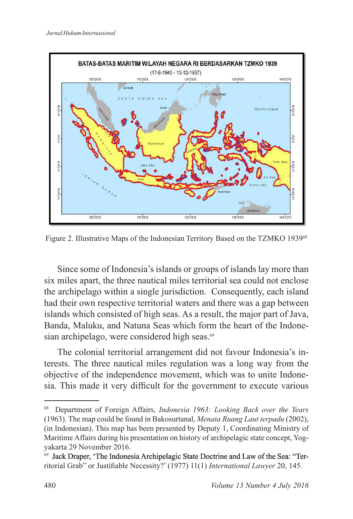

Figure 2. Illustrative Maps of the Indonesian Territory Based on the TZMKO 1939<sup>68</sup>

Since some of Indonesia's islands or groups of islands lay more than six miles apart, the three nautical miles territorial sea could not enclose the archipelago within a single jurisdiction. Consequently, each island had their own respective territorial waters and there was a gap between islands which consisted of high seas. As a result, the major part of Java, Banda, Maluku, and Natuna Seas which form the heart of the Indonesian archipelago, were considered high seas.<sup>69</sup>

The colonial territorial arrangement did not favour Indonesia's interests. The three nautical miles regulation was a long way from the objective of the independence movement, which was to unite Indonesia. This made it very difficult for the government to execute various

<sup>68</sup> Department of Foreign Affairs, *Indonesia 1963: Looking Back over the Years* (1963). The map could be found in Bakosurtanal, *Menata Ruang Laut terpadu* (2002), (in Indonesian). This map has been presented by Deputy 1, Coordinating Ministry of Maritime Affairs during his presentation on history of archipelagic state concept, Yogyakarta 29 November 2016.

<sup>&</sup>lt;sup>69</sup> Jack Draper, 'The Indonesia Archipelagic State Doctrine and Law of the Sea: "Territorial Grab" or Justifiable Necessity?' (1977) 11(1) *International Lawyer* 20, 145.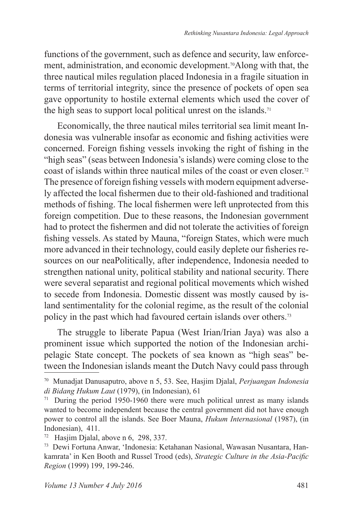functions of the government, such as defence and security, law enforcement, administration, and economic development.70Along with that, the three nautical miles regulation placed Indonesia in a fragile situation in terms of territorial integrity, since the presence of pockets of open sea gave opportunity to hostile external elements which used the cover of the high seas to support local political unrest on the islands.<sup>71</sup>

Economically, the three nautical miles territorial sea limit meant Indonesia was vulnerable insofar as economic and fishing activities were concerned. Foreign fishing vessels invoking the right of fishing in the "high seas" (seas between Indonesia's islands) were coming close to the coast of islands within three nautical miles of the coast or even closer.<sup>72</sup> The presence of foreign fishing vessels with modern equipment adversely affected the local fishermen due to their old-fashioned and traditional methods of fishing. The local fishermen were left unprotected from this foreign competition. Due to these reasons, the Indonesian government had to protect the fishermen and did not tolerate the activities of foreign fishing vessels. As stated by Mauna, "foreign States, which were much more advanced in their technology, could easily deplete our fisheries resources on our neaPolitically, after independence, Indonesia needed to strengthen national unity, political stability and national security. There were several separatist and regional political movements which wished to secede from Indonesia. Domestic dissent was mostly caused by island sentimentality for the colonial regime, as the result of the colonial policy in the past which had favoured certain islands over others.<sup>73</sup>

The struggle to liberate Papua (West Irian/Irian Jaya) was also a prominent issue which supported the notion of the Indonesian archipelagic State concept. The pockets of sea known as "high seas" between the Indonesian islands meant the Dutch Navy could pass through

<sup>70</sup> Munadjat Danusaputro, above n 5, 53. See, Hasjim Djalal, *Perjuangan Indonesia di Bidang Hukum Laut* (1979), (in Indonesian), 61

During the period 1950-1960 there were much political unrest as many islands wanted to become independent because the central government did not have enough power to control all the islands. See Boer Mauna, *Hukum Internasional* (1987), (in Indonesian), 411.

<sup>72</sup> Hasjim Djalal, above n 6, 298, 337.

<sup>73</sup> Dewi Fortuna Anwar, 'Indonesia: Ketahanan Nasional, Wawasan Nusantara, Hankamrata' in Ken Booth and Russel Trood (eds), *Strategic Culture in the Asia-Pacific Region* (1999) 199, 199-246.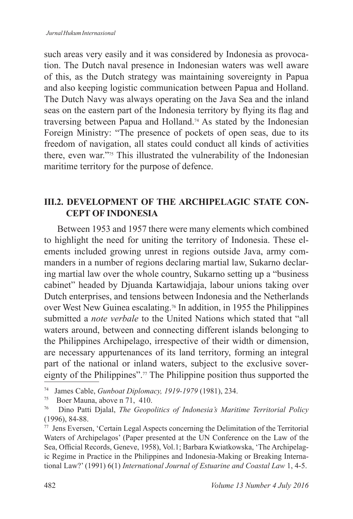such areas very easily and it was considered by Indonesia as provocation. The Dutch naval presence in Indonesian waters was well aware of this, as the Dutch strategy was maintaining sovereignty in Papua and also keeping logistic communication between Papua and Holland. The Dutch Navy was always operating on the Java Sea and the inland seas on the eastern part of the Indonesia territory by flying its flag and traversing between Papua and Holland.74 As stated by the Indonesian Foreign Ministry: "The presence of pockets of open seas, due to its freedom of navigation, all states could conduct all kinds of activities there, even war."<sup>775</sup> This illustrated the vulnerability of the Indonesian maritime territory for the purpose of defence.

## **III.2. DEVELOPMENT OF THE ARCHIPELAGIC STATE CON-CEPT OF INDONESIA**

Between 1953 and 1957 there were many elements which combined to highlight the need for uniting the territory of Indonesia. These elements included growing unrest in regions outside Java, army commanders in a number of regions declaring martial law, Sukarno declaring martial law over the whole country, Sukarno setting up a "business cabinet" headed by Djuanda Kartawidjaja, labour unions taking over Dutch enterprises, and tensions between Indonesia and the Netherlands over West New Guinea escalating.76 In addition, in 1955 the Philippines submitted a *note verbale* to the United Nations which stated that "all waters around, between and connecting different islands belonging to the Philippines Archipelago, irrespective of their width or dimension, are necessary appurtenances of its land territory, forming an integral part of the national or inland waters, subject to the exclusive sovereignty of the Philippines".77 The Philippine position thus supported the

<sup>74</sup> James Cable, *Gunboat Diplomacy, 1919-1979* (1981), 234.

 $^{75}$  Boer Mauna, above n 71, 410.<br> $^{76}$  Dino Patti Dialal *The Georg* 

<sup>76</sup> Dino Patti Djalal, *The Geopolitics of Indonesia's Maritime Territorial Policy* (1996), 84-88.

<sup>77</sup> Jens Eversen, 'Certain Legal Aspects concerning the Delimitation of the Territorial Waters of Archipelagos' (Paper presented at the UN Conference on the Law of the Sea, Official Records, Geneve, 1958), Vol.1; Barbara Kwiatkowska, 'The Archipelagic Regime in Practice in the Philippines and Indonesia-Making or Breaking International Law?' (1991) 6(1) *International Journal of Estuarine and Coastal Law* 1, 4-5.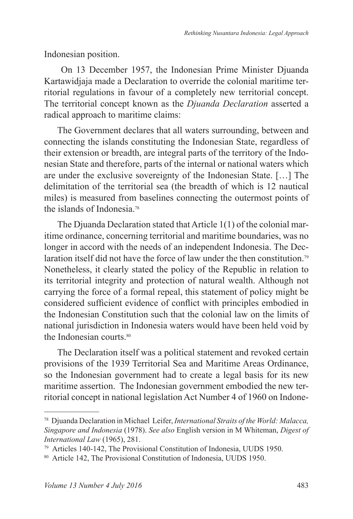Indonesian position.

 On 13 December 1957, the Indonesian Prime Minister Djuanda Kartawidjaja made a Declaration to override the colonial maritime territorial regulations in favour of a completely new territorial concept. The territorial concept known as the *Djuanda Declaration* asserted a radical approach to maritime claims:

The Government declares that all waters surrounding, between and connecting the islands constituting the Indonesian State, regardless of their extension or breadth, are integral parts of the territory of the Indonesian State and therefore, parts of the internal or national waters which are under the exclusive sovereignty of the Indonesian State. […] The delimitation of the territorial sea (the breadth of which is 12 nautical miles) is measured from baselines connecting the outermost points of the islands of Indonesia<sup>78</sup>

The Djuanda Declaration stated that Article 1(1) of the colonial maritime ordinance, concerning territorial and maritime boundaries, was no longer in accord with the needs of an independent Indonesia. The Declaration itself did not have the force of law under the then constitution.<sup>79</sup> Nonetheless, it clearly stated the policy of the Republic in relation to its territorial integrity and protection of natural wealth. Although not carrying the force of a formal repeal, this statement of policy might be considered sufficient evidence of conflict with principles embodied in the Indonesian Constitution such that the colonial law on the limits of national jurisdiction in Indonesia waters would have been held void by the Indonesian courts.<sup>80</sup>

The Declaration itself was a political statement and revoked certain provisions of the 1939 Territorial Sea and Maritime Areas Ordinance, so the Indonesian government had to create a legal basis for its new maritime assertion. The Indonesian government embodied the new territorial concept in national legislation Act Number 4 of 1960 on Indone-

<sup>78</sup> Djuanda Declaration in Michael Leifer, *International Straits of the World: Malacca, Singapore and Indonesia* (1978). *See also* English version in M Whiteman, *Digest of International Law* (1965), 281.

<sup>79</sup> Articles 140-142, The Provisional Constitution of Indonesia, UUDS 1950.

<sup>80</sup> Article 142, The Provisional Constitution of Indonesia, UUDS 1950.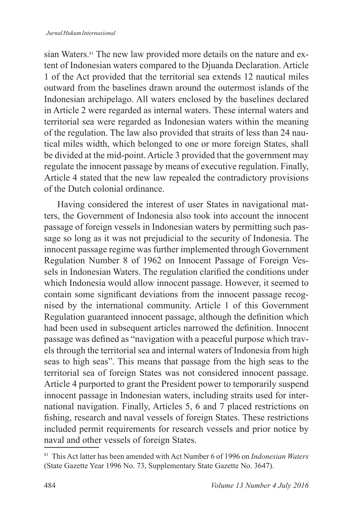sian Waters.<sup>81</sup> The new law provided more details on the nature and extent of Indonesian waters compared to the Djuanda Declaration. Article 1 of the Act provided that the territorial sea extends 12 nautical miles outward from the baselines drawn around the outermost islands of the Indonesian archipelago. All waters enclosed by the baselines declared in Article 2 were regarded as internal waters. These internal waters and territorial sea were regarded as Indonesian waters within the meaning of the regulation. The law also provided that straits of less than 24 nautical miles width, which belonged to one or more foreign States, shall be divided at the mid-point. Article 3 provided that the government may regulate the innocent passage by means of executive regulation. Finally, Article 4 stated that the new law repealed the contradictory provisions of the Dutch colonial ordinance.

Having considered the interest of user States in navigational matters, the Government of Indonesia also took into account the innocent passage of foreign vessels in Indonesian waters by permitting such passage so long as it was not prejudicial to the security of Indonesia. The innocent passage regime was further implemented through Government Regulation Number 8 of 1962 on Innocent Passage of Foreign Vessels in Indonesian Waters. The regulation clarified the conditions under which Indonesia would allow innocent passage. However, it seemed to contain some significant deviations from the innocent passage recognised by the international community. Article 1 of this Government Regulation guaranteed innocent passage, although the definition which had been used in subsequent articles narrowed the definition. Innocent passage was defined as "navigation with a peaceful purpose which travels through the territorial sea and internal waters of Indonesia from high seas to high seas". This means that passage from the high seas to the territorial sea of foreign States was not considered innocent passage. Article 4 purported to grant the President power to temporarily suspend innocent passage in Indonesian waters, including straits used for international navigation. Finally, Articles 5, 6 and 7 placed restrictions on fishing, research and naval vessels of foreign States. These restrictions included permit requirements for research vessels and prior notice by naval and other vessels of foreign States.

<sup>81</sup> This Act latter has been amended with Act Number 6 of 1996 on *Indonesian Waters* (State Gazette Year 1996 No. 73, Supplementary State Gazette No. 3647).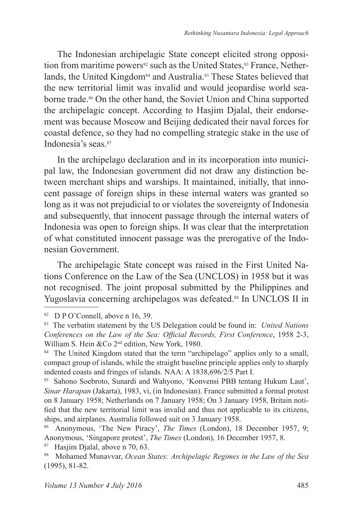The Indonesian archipelagic State concept elicited strong opposition from maritime powers<sup>82</sup> such as the United States, <sup>83</sup> France, Netherlands, the United Kingdom<sup>84</sup> and Australia.<sup>85</sup> These States believed that the new territorial limit was invalid and would jeopardise world seaborne trade.<sup>86</sup> On the other hand, the Soviet Union and China supported the archipelagic concept. According to Hasjim Djalal, their endorsement was because Moscow and Beijing dedicated their naval forces for coastal defence, so they had no compelling strategic stake in the use of Indonesia's seas.<sup>87</sup>

In the archipelago declaration and in its incorporation into municipal law, the Indonesian government did not draw any distinction between merchant ships and warships. It maintained, initially, that innocent passage of foreign ships in these internal waters was granted so long as it was not prejudicial to or violates the sovereignty of Indonesia and subsequently, that innocent passage through the internal waters of Indonesia was open to foreign ships. It was clear that the interpretation of what constituted innocent passage was the prerogative of the Indonesian Government.

The archipelagic State concept was raised in the First United Nations Conference on the Law of the Sea (UNCLOS) in 1958 but it was not recognised. The joint proposal submitted by the Philippines and Yugoslavia concerning archipelagos was defeated.<sup>88</sup> In UNCLOS II in

<sup>82</sup> D P O'Connell, above n 16, 39.

<sup>83</sup> The verbatim statement by the US Delegation could be found in: *United Nations Conferences on the Law of the Sea: Official Records, First Conference*, 1958 2-3, William S. Hein &Co 2<sup>nd</sup> edition, New York, 1980.

<sup>&</sup>lt;sup>84</sup> The United Kingdom stated that the term "archipelago" applies only to a small, compact group of islands, while the straight baseline principle applies only to sharply indented coasts and fringes of islands. NAA: A 1838,696/2/5 Part I.

<sup>85</sup> Sahono Soebroto, Sunardi and Wahyono, 'Konvensi PBB tentang Hukum Laut', *Sinar Harapan* (Jakarta), 1983, vi, (in Indonesian). France submitted a formal protest on 8 January 1958; Netherlands on 7 January 1958; On 3 January 1958, Britain notified that the new territorial limit was invalid and thus not applicable to its citizens, ships, and airplanes. Australia followed suit on 3 January 1958.

<sup>86</sup> Anonymous, 'The New Piracy', *The Times* (London), 18 December 1957, 9; Anonymous, 'Singapore protest', *The Times* (London), 16 December 1957, 8.

<sup>87</sup> Hasjim Djalal, above n 70, 63.

<sup>88</sup> Mohamed Munavvar, *Ocean States: Archipelagic Regimes in the Law of the Sea* (1995), 81-82.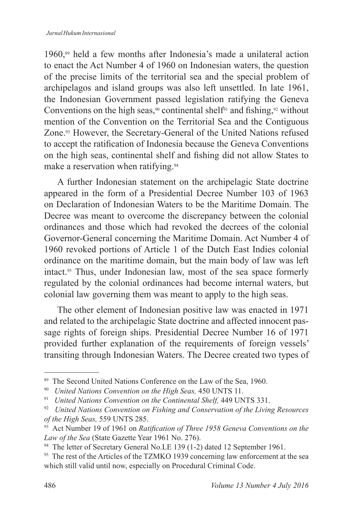1960,<sup>89</sup> held a few months after Indonesia's made a unilateral action to enact the Act Number 4 of 1960 on Indonesian waters, the question of the precise limits of the territorial sea and the special problem of archipelagos and island groups was also left unsettled. In late 1961, the Indonesian Government passed legislation ratifying the Geneva Conventions on the high seas,<sup>90</sup> continental shelf<sup>91</sup> and fishing,<sup>92</sup> without mention of the Convention on the Territorial Sea and the Contiguous Zone.<sup>93</sup> However, the Secretary-General of the United Nations refused to accept the ratification of Indonesia because the Geneva Conventions on the high seas, continental shelf and fishing did not allow States to make a reservation when ratifying.<sup>94</sup>

A further Indonesian statement on the archipelagic State doctrine appeared in the form of a Presidential Decree Number 103 of 1963 on Declaration of Indonesian Waters to be the Maritime Domain. The Decree was meant to overcome the discrepancy between the colonial ordinances and those which had revoked the decrees of the colonial Governor-General concerning the Maritime Domain. Act Number 4 of 1960 revoked portions of Article 1 of the Dutch East Indies colonial ordinance on the maritime domain, but the main body of law was left intact.95 Thus, under Indonesian law, most of the sea space formerly regulated by the colonial ordinances had become internal waters, but colonial law governing them was meant to apply to the high seas.

The other element of Indonesian positive law was enacted in 1971 and related to the archipelagic State doctrine and affected innocent passage rights of foreign ships. Presidential Decree Number 16 of 1971 provided further explanation of the requirements of foreign vessels' transiting through Indonesian Waters. The Decree created two types of

<sup>&</sup>lt;sup>89</sup> The Second United Nations Conference on the Law of the Sea, 1960.

<sup>90</sup> *United Nations Convention on the High Seas,* 450 UNTS 11.

<sup>91</sup> *United Nations Convention on the Continental Shelf,* 449 UNTS 331.

<sup>92</sup> *United Nations Convention on Fishing and Conservation of the Living Resources of the High Seas,* 559 UNTS 285.

<sup>93</sup> Act Number 19 of 1961 on *Ratification of Three 1958 Geneva Conventions on the Law of the Sea* (State Gazette Year 1961 No. 276).

<sup>&</sup>lt;sup>94</sup> The letter of Secretary General No.LE 139 (1-2) dated 12 September 1961.

<sup>&</sup>lt;sup>95</sup> The rest of the Articles of the TZMKO 1939 concerning law enforcement at the sea which still valid until now, especially on Procedural Criminal Code.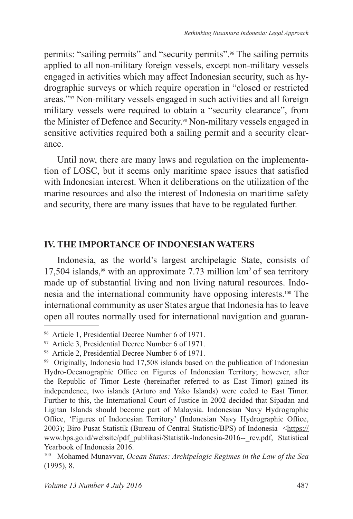permits: "sailing permits" and "security permits".96 The sailing permits applied to all non-military foreign vessels, except non-military vessels engaged in activities which may affect Indonesian security, such as hydrographic surveys or which require operation in "closed or restricted areas."97 Non-military vessels engaged in such activities and all foreign military vessels were required to obtain a "security clearance", from the Minister of Defence and Security.98 Non-military vessels engaged in sensitive activities required both a sailing permit and a security clearance.

Until now, there are many laws and regulation on the implementation of LOSC, but it seems only maritime space issues that satisfied with Indonesian interest. When it deliberations on the utilization of the marine resources and also the interest of Indonesia on maritime safety and security, there are many issues that have to be regulated further.

### **IV . THE IMPORTANCE OF INDONESIAN WATERS**

Indonesia, as the world's largest archipelagic State, consists of 17,504 islands,<sup>99</sup> with an approximate 7.73 million  $km^2$  of sea territory made up of substantial living and non living natural resources. Indonesia and the international community have opposing interests.100 The international community as user States argue that Indonesia has to leave open all routes normally used for international navigation and guaran-

<sup>96</sup> Article 1, Presidential Decree Number 6 of 1971.

<sup>97</sup> Article 3, Presidential Decree Number 6 of 1971.

<sup>98</sup> Article 2, Presidential Decree Number 6 of 1971.

<sup>99</sup> Originally, Indonesia had 17,508 islands based on the publication of Indonesian Hydro-Oceanographic Office on Figures of Indonesian Territory; however, after the Republic of Timor Leste (hereinafter referred to as East Timor) gained its independence, two islands (Arturo and Yako Islands) were ceded to East Timor. Further to this, the International Court of Justice in 2002 decided that Sipadan and Ligitan Islands should become part of Malaysia. Indonesian Navy Hydrographic Office, 'Figures of Indonesian Territory' (Indonesian Navy Hydrographic Office, 2003); Biro Pusat Statistik (Bureau of Central Statistic/BPS) of Indonesia <https:// www.bps.go.id/website/pdf\_publikasi/Statistik-Indonesia-2016--\_rev.pdf, Statistical Yearbook of Indonesia 2016.

<sup>100</sup> Mohamed Munavvar, *Ocean States: Archipelagic Regimes in the Law of the Sea* (1995), 8.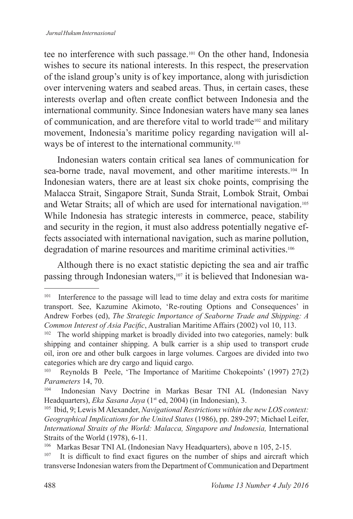tee no interference with such passage.101 On the other hand, Indonesia wishes to secure its national interests. In this respect, the preservation of the island group's unity is of key importance, along with jurisdiction over intervening waters and seabed areas. Thus, in certain cases, these interests overlap and often create conflict between Indonesia and the international community. Since Indonesian waters have many sea lanes of communication, and are therefore vital to world trade102 and military movement, Indonesia's maritime policy regarding navigation will always be of interest to the international community.<sup>103</sup>

Indonesian waters contain critical sea lanes of communication for sea-borne trade, naval movement, and other maritime interests.<sup>104</sup> In Indonesian waters, there are at least six choke points, comprising the Malacca Strait, Singapore Strait, Sunda Strait, Lombok Strait, Ombai and Wetar Straits; all of which are used for international navigation.<sup>105</sup> While Indonesia has strategic interests in commerce, peace, stability and security in the region, it must also address potentially negative effects associated with international navigation, such as marine pollution, degradation of marine resources and maritime criminal activities.<sup>106</sup>

Although there is no exact statistic depicting the sea and air traffic passing through Indonesian waters,107 it is believed that Indonesian wa-

<sup>&</sup>lt;sup>101</sup> Interference to the passage will lead to time delay and extra costs for maritime transport. See, Kazumine Akimoto, 'Re-routing Options and Consequences' in Andrew Forbes (ed), *The Strategic Importance of Seaborne Trade and Shipping: A Common Interest of Asia Pacific*, Australian Maritime Affairs (2002) vol 10, 113.

<sup>&</sup>lt;sup>102</sup> The world shipping market is broadly divided into two categories, namely: bulk shipping and container shipping. A bulk carrier is a ship used to transport crude oil, iron ore and other bulk cargoes in large volumes. Cargoes are divided into two categories which are dry cargo and liquid cargo.

Reynolds B Peele, 'The Importance of Maritime Chokepoints' (1997) 27(2) *Parameters* 14, 70.

Indonesian Navy Doctrine in Markas Besar TNI AL (Indonesian Navy Headquarters), *Eka Sasana Jaya* (1<sup>st</sup> ed, 2004) (in Indonesian), 3.

<sup>105</sup> Ibid, 9; Lewis M Alexander, *Navigational Restrictions within the new LOS context: Geographical Implications for the United States* (1986), pp. 289-297; Michael Leifer, International Straits of the World: Malacca, Singapore and Indonesia, International Straits of the World (1978), 6-11.

<sup>106</sup> Markas Besar TNI AL (Indonesian Navy Headquarters), above n 105, 2-15.

<sup>&</sup>lt;sup>107</sup> It is difficult to find exact figures on the number of ships and aircraft which transverse Indonesian waters from the Department of Communication and Department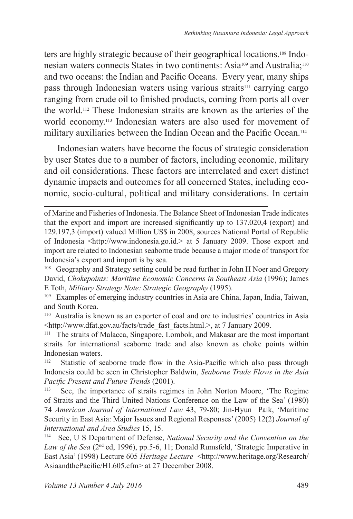ters are highly strategic because of their geographical locations.108 Indonesian waters connects States in two continents: Asia109 and Australia;<sup>110</sup> and two oceans: the Indian and Pacific Oceans. Every year, many ships pass through Indonesian waters using various straits<sup>111</sup> carrying cargo ranging from crude oil to finished products, coming from ports all over the world.112 These Indonesian straits are known as the arteries of the world economy.113 Indonesian waters are also used for movement of military auxiliaries between the Indian Ocean and the Pacific Ocean.<sup>114</sup>

Indonesian waters have become the focus of strategic consideration by user States due to a number of factors, including economic, military and oil considerations. These factors are interrelated and exert distinct dynamic impacts and outcomes for all concerned States, including economic, socio-cultural, political and military considerations. In certain

<sup>108</sup> Geography and Strategy setting could be read further in John H Noer and Gregory David, *Chokepoints: Maritime Economic Concerns in Southeast Asia* (1996); James E Toth, *Military Strategy Note: Strategic Geography* (1995).

<sup>109</sup> Examples of emerging industry countries in Asia are China, Japan, India, Taiwan, and South Korea.

<sup>110</sup> Australia is known as an exporter of coal and ore to industries' countries in Asia <http://www.dfat.gov.au/facts/trade\_fast\_facts.html.>, at 7 January 2009.

<sup>111</sup> The straits of Malacca, Singapore, Lombok, and Makasar are the most important straits for international seaborne trade and also known as choke points within Indonesian waters.<br><sup>112</sup> Statistic of St

Statistic of seaborne trade flow in the Asia-Pacific which also pass through Indonesia could be seen in Christopher Baldwin, *Seaborne Trade Flows in the Asia Pacific Present and Future Trends* (2001).<br><sup>113</sup> See, the importance of straits regin

See, the importance of straits regimes in John Norton Moore, 'The Regime of Straits and the Third United Nations Conference on the Law of the Sea' (1980) 74 *American Journal of International Law* 43, 79-80; Jin-Hyun Paik, 'Maritime Security in East Asia: Major Issues and Regional Responses' (2005) 12(2) *Journal of International and Area Studies* 15, 15.

<sup>114</sup> See, U S Department of Defense, *National Security and the Convention on the Law of the Sea* (2nd ed, 1996), pp.5-6, 11; Donald Rumsfeld, 'Strategic Imperative in East Asia' (1998) Lecture 605 *Heritage Lecture* <http://www.heritage.org/Research/ AsiaandthePacific/HL605.cfm> at 27 December 2008.

of Marine and Fisheries of Indonesia. The Balance Sheet of Indonesian Trade indicates that the export and import are increased significantly up to 137.020,4 (export) and 129.197,3 (import) valued Million US\$ in 2008, sources National Portal of Republic of Indonesia <http://www.indonesia.go.id.> at 5 January 2009. Those export and import are related to Indonesian seaborne trade because a major mode of transport for Indonesia's export and import is by sea.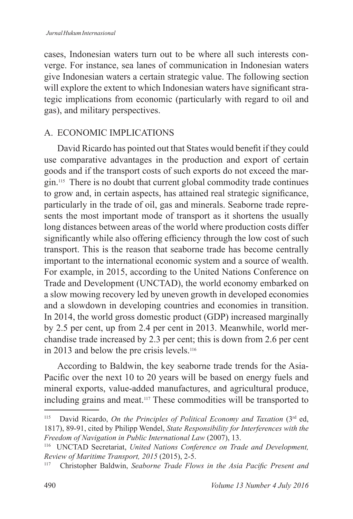cases, Indonesian waters turn out to be where all such interests converge. For instance, sea lanes of communication in Indonesian waters give Indonesian waters a certain strategic value. The following section will explore the extent to which Indonesian waters have significant strategic implications from economic (particularly with regard to oil and gas), and military perspectives.

### A. ECONOMIC IMPLICATIONS

David Ricardo has pointed out that States would benefit if they could use comparative advantages in the production and export of certain goods and if the transport costs of such exports do not exceed the margin.115 There is no doubt that current global commodity trade continues to grow and, in certain aspects, has attained real strategic significance, particularly in the trade of oil, gas and minerals. Seaborne trade represents the most important mode of transport as it shortens the usually long distances between areas of the world where production costs differ significantly while also offering efficiency through the low cost of such transport. This is the reason that seaborne trade has become centrally important to the international economic system and a source of wealth. For example, in 2015, according to the United Nations Conference on Trade and Development (UNCTAD), the world economy embarked on a slow mowing recovery led by uneven growth in developed economies and a slowdown in developing countries and economies in transition. In 2014, the world gross domestic product (GDP) increased marginally by 2.5 per cent, up from 2.4 per cent in 2013. Meanwhile, world merchandise trade increased by 2.3 per cent; this is down from 2.6 per cent in 2013 and below the pre crisis levels.<sup>116</sup>

According to Baldwin, the key seaborne trade trends for the Asia-Pacific over the next 10 to 20 years will be based on energy fuels and mineral exports, value-added manufactures, and agricultural produce, including grains and meat.117 These commodities will be transported to

<sup>115</sup> David Ricardo, *On the Principles of Political Economy and Taxation* (3rd ed, 1817), 89-91, cited by Philipp Wendel, *State Responsibility for Interferences with the Freedom of Navigation in Public International Law* (2007), 13.

<sup>116</sup> UNCTAD Secretariat, *United Nations Conference on Trade and Development, Review of Maritime Transport, 2015* (2015), 2-5.

<sup>117</sup> Christopher Baldwin, *Seaborne Trade Flows in the Asia Pacific Present and*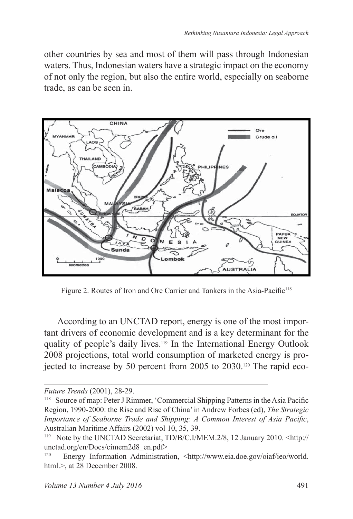other countries by sea and most of them will pass through Indonesian waters. Thus, Indonesian waters have a strategic impact on the economy of not only the region, but also the entire world, especially on seaborne trade, as can be seen in.



Figure 2. Routes of Iron and Ore Carrier and Tankers in the Asia-Pacific<sup>118</sup>

According to an UNCTAD report, energy is one of the most important drivers of economic development and is a key determinant for the quality of people's daily lives.119 In the International Energy Outlook 2008 projections, total world consumption of marketed energy is projected to increase by 50 percent from 2005 to 2030.120 The rapid eco-

*Future Trends* (2001), 28-29.

<sup>118</sup> Source of map: Peter J Rimmer, 'Commercial Shipping Patterns in the Asia Pacific Region, 1990-2000: the Rise and Rise of China' in Andrew Forbes (ed), *The Strategic Importance of Seaborne Trade and Shipping: A Common Interest of Asia Pacific*, Australian Maritime Affairs (2002) vol 10, 35, 39.

<sup>119</sup> Note by the UNCTAD Secretariat, TD/B/C.I/MEM.2/8, 12 January 2010. <http:// unctad.org/en/Docs/cimem2d8\_en.pdf>

Energy Information Administration, <http://www.eia.doe.gov/oiaf/ieo/world. html.>, at 28 December 2008.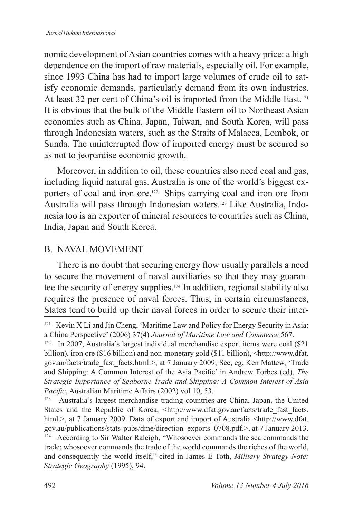nomic development of Asian countries comes with a heavy price: a high dependence on the import of raw materials, especially oil. For example, since 1993 China has had to import large volumes of crude oil to satisfy economic demands, particularly demand from its own industries. At least 32 per cent of China's oil is imported from the Middle East.<sup>121</sup> It is obvious that the bulk of the Middle Eastern oil to Northeast Asian economies such as China, Japan, Taiwan, and South Korea, will pass through Indonesian waters, such as the Straits of Malacca, Lombok, or Sunda. The uninterrupted flow of imported energy must be secured so as not to jeopardise economic growth.

Moreover, in addition to oil, these countries also need coal and gas, including liquid natural gas. Australia is one of the world's biggest exporters of coal and iron ore.<sup>122</sup> Ships carrying coal and iron ore from Australia will pass through Indonesian waters.123 Like Australia, Indonesia too is an exporter of mineral resources to countries such as China, India, Japan and South Korea.

## B. NAVAL MOVEMENT

There is no doubt that securing energy flow usually parallels a need to secure the movement of naval auxiliaries so that they may guarantee the security of energy supplies.124 In addition, regional stability also requires the presence of naval forces. Thus, in certain circumstances, States tend to build up their naval forces in order to secure their inter-

<sup>121</sup> Kevin X Li and Jin Cheng, 'Maritime Law and Policy for Energy Security in Asia: a China Perspective' (2006) 37(4) *Journal of Maritime Law and Commerce* 567.

<sup>122</sup> In 2007, Australia's largest individual merchandise export items were coal (\$21 billion), iron ore (\$16 billion) and non-monetary gold (\$11 billion), <http://www.dfat. gov.au/facts/trade\_fast\_facts.html.>, at 7 January 2009; See, eg, Ken Mattew, 'Trade and Shipping: A Common Interest of the Asia Pacific' in Andrew Forbes (ed), *The Strategic Importance of Seaborne Trade and Shipping: A Common Interest of Asia Pacific*, Australian Maritime Affairs (2002) vol 10, 53.<br><sup>123</sup> Australia's largest merchandise trading countries

<sup>123</sup> Australia's largest merchandise trading countries are China, Japan, the United States and the Republic of Korea, <http://www.dfat.gov.au/facts/trade\_fast\_facts. html.>, at 7 January 2009. Data of export and import of Australia <http://www.dfat. gov.au/publications/stats-pubs/dme/direction\_exports\_0708.pdf.>, at 7 January 2013. <sup>124</sup> According to Sir Walter Raleigh, "Whosoever commands the sea commands the trade; whosoever commands the trade of the world commands the riches of the world, and consequently the world itself," cited in James E Toth, *Military Strategy Note: Strategic Geography* (1995), 94.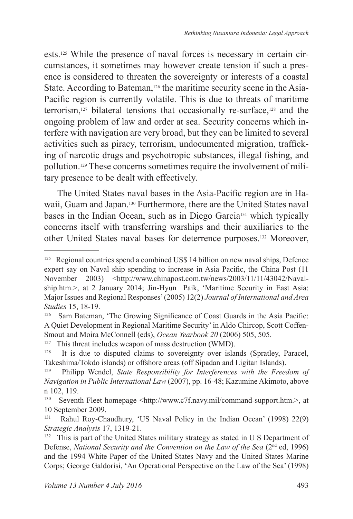ests.125 While the presence of naval forces is necessary in certain circumstances, it sometimes may however create tension if such a presence is considered to threaten the sovereignty or interests of a coastal State. According to Bateman,<sup>126</sup> the maritime security scene in the Asia-Pacific region is currently volatile. This is due to threats of maritime terrorism,127 bilateral tensions that occasionally re-surface,128 and the ongoing problem of law and order at sea. Security concerns which interfere with navigation are very broad, but they can be limited to several activities such as piracy, terrorism, undocumented migration, trafficking of narcotic drugs and psychotropic substances, illegal fishing, and pollution.129 These concerns sometimes require the involvement of military presence to be dealt with effectively.

The United States naval bases in the Asia-Pacific region are in Hawaii, Guam and Japan.130 Furthermore, there are the United States naval bases in the Indian Ocean, such as in Diego Garcia<sup>131</sup> which typically concerns itself with transferring warships and their auxiliaries to the other United States naval bases for deterrence purposes.132 Moreover,

<sup>127</sup> This threat includes weapon of mass destruction (WMD).<br><sup>128</sup> It is due to disputed claims to sovereignty over islai

<sup>&</sup>lt;sup>125</sup> Regional countries spend a combined US\$ 14 billion on new naval ships, Defence expert say on Naval ship spending to increase in Asia Pacific, the China Post (11 November 2003) <http://www.chinapost.com.tw/news/2003/11/11/43042/Navalship.htm.>, at 2 January 2014; Jin-Hyun Paik, 'Maritime Security in East Asia: Major Issues and Regional Responses' (2005) 12(2) *Journal of International and Area Studies* 15, 18-19.

Sam Bateman, 'The Growing Significance of Coast Guards in the Asia Pacific: A Quiet Development in Regional Maritime Security' in Aldo Chircop, Scott Coffen-Smout and Moira McConnell (eds), *Ocean Yearbook 20* (2006) 505, 505.<br><sup>127</sup> This threat includes weapon of mass destruction (WMD)

It is due to disputed claims to sovereignty over islands (Spratley, Paracel, Takeshima/Tokdo islands) or offshore areas (off Sipadan and Ligitan Islands).

<sup>129</sup> Philipp Wendel, *State Responsibility for Interferences with the Freedom of Navigation in Public International Law* (2007), pp. 16-48; Kazumine Akimoto, above  $n$  102, 119.

<sup>130</sup> Seventh Fleet homepage <http://www.c7f.navy.mil/command-support.htm.>, at 10 September 2009.<br> $R_{\text{abul}}$  Rabul Roy-Chi

Rahul Roy-Chaudhury, 'US Naval Policy in the Indian Ocean' (1998) 22(9) *Strategic Analysis* 17, 1319-21.

<sup>&</sup>lt;sup>132</sup> This is part of the United States military strategy as stated in U S Department of Defense, *National Security and the Convention on the Law of the Sea* (2<sup>nd</sup> ed, 1996) and the 1994 White Paper of the United States Navy and the United States Marine Corps; George Galdorisi, 'An Operational Perspective on the Law of the Sea' (1998)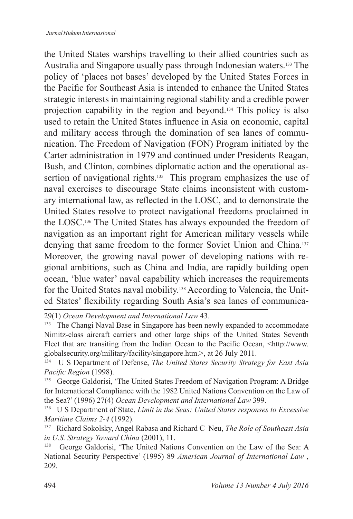the United States warships travelling to their allied countries such as Australia and Singapore usually pass through Indonesian waters.133 The policy of 'places not bases' developed by the United States Forces in the Pacific for Southeast Asia is intended to enhance the United States strategic interests in maintaining regional stability and a credible power projection capability in the region and beyond.134 This policy is also used to retain the United States influence in Asia on economic, capital and military access through the domination of sea lanes of communication. The Freedom of Navigation (FON) Program initiated by the Carter administration in 1979 and continued under Presidents Reagan, Bush, and Clinton, combines diplomatic action and the operational assertion of navigational rights.<sup>135</sup> This program emphasizes the use of naval exercises to discourage State claims inconsistent with customary international law, as reflected in the LOSC, and to demonstrate the United States resolve to protect navigational freedoms proclaimed in the LOSC.136 The United States has always expounded the freedom of navigation as an important right for American military vessels while denying that same freedom to the former Soviet Union and China.<sup>137</sup> Moreover, the growing naval power of developing nations with regional ambitions, such as China and India, are rapidly building open ocean, 'blue water' naval capability which increases the requirements for the United States naval mobility.138 According to Valencia, the United States' flexibility regarding South Asia's sea lanes of communica-

29(1) *Ocean Development and International Law* 43.

<sup>133</sup> The Changi Naval Base in Singapore has been newly expanded to accommodate Nimitz-class aircraft carriers and other large ships of the United States Seventh Fleet that are transiting from the Indian Ocean to the Pacific Ocean, <http://www. globalsecurity.org/military/facility/singapore.htm.>, at 26 July 2011.

<sup>134</sup> U S Department of Defense, *The United States Security Strategy for East Asia Pacific Region* (1998).

<sup>135</sup> George Galdorisi, 'The United States Freedom of Navigation Program: A Bridge for International Compliance with the 1982 United Nations Convention on the Law of the Sea?' (1996) 27(4) *Ocean Development and International Law* 399.

<sup>136</sup> U S Department of State, *Limit in the Seas: United States responses to Excessive Maritime Claims 2-4* (1992).

<sup>137</sup> Richard Sokolsky, Angel Rabasa and Richard C Neu, *The Role of Southeast Asia in U.S. Strategy Toward China* (2001), 11.

<sup>138</sup> George Galdorisi, 'The United Nations Convention on the Law of the Sea: A National Security Perspective' (1995) 89 *American Journal of International Law* , 209.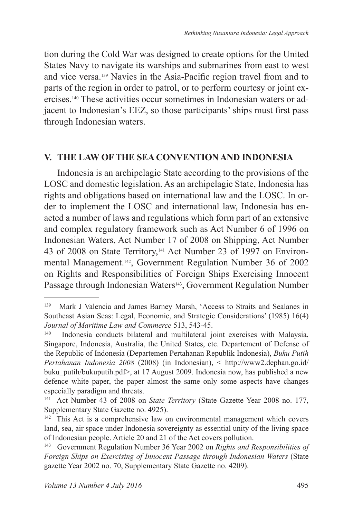tion during the Cold War was designed to create options for the United States Navy to navigate its warships and submarines from east to west and vice versa.139 Navies in the Asia-Pacific region travel from and to parts of the region in order to patrol, or to perform courtesy or joint exercises.140 These activities occur sometimes in Indonesian waters or adjacent to Indonesian's EEZ, so those participants' ships must first pass through Indonesian waters.

#### **V . THE LAW OF THE SEA CONVENTION AND INDONESIA**

Indonesia is an archipelagic State according to the provisions of the LOSC and domestic legislation. As an archipelagic State, Indonesia has rights and obligations based on international law and the LOSC. In order to implement the LOSC and international law, Indonesia has enacted a number of laws and regulations which form part of an extensive and complex regulatory framework such as Act Number 6 of 1996 on Indonesian Waters, Act Number 17 of 2008 on Shipping, Act Number 43 of 2008 on State Territory,<sup>141</sup> Act Number 23 of 1997 on Environmental Management.142, Government Regulation Number 36 of 2002 on Rights and Responsibilities of Foreign Ships Exercising Innocent Passage through Indonesian Waters<sup>143</sup>, Government Regulation Number

<sup>139</sup> Mark J Valencia and James Barney Marsh, 'Access to Straits and Sealanes in Southeast Asian Seas: Legal, Economic, and Strategic Considerations' (1985) 16(4) *Journal of Maritime Law and Commerce* 513, 543-45.

Indonesia conducts bilateral and multilateral joint exercises with Malaysia, Singapore, Indonesia, Australia, the United States, etc. Departement of Defense of the Republic of Indonesia (Departemen Pertahanan Republik Indonesia), *Buku Putih Pertahanan Indonesia 2008* (2008) (in Indonesian), < http://www2.dephan.go.id/ buku\_putih/bukuputih.pdf>, at 17 August 2009. Indonesia now, has published a new defence white paper, the paper almost the same only some aspects have changes especially paradigm and threats.

<sup>&</sup>lt;sup>141</sup> Act Number 43 of 2008 on *State Territory* (State Gazette Year 2008 no. 177, Supplementary State Gazette no. 4925).

<sup>142</sup> This Act is a comprehensive law on environmental management which covers land, sea, air space under Indonesia sovereignty as essential unity of the living space of Indonesian people. Article 20 and 21 of the Act covers pollution.

<sup>143</sup> Government Regulation Number 36 Year 2002 on *Rights and Responsibilities of Foreign Ships on Exercising of Innocent Passage through Indonesian Waters* (State gazette Year 2002 no. 70, Supplementary State Gazette no. 4209).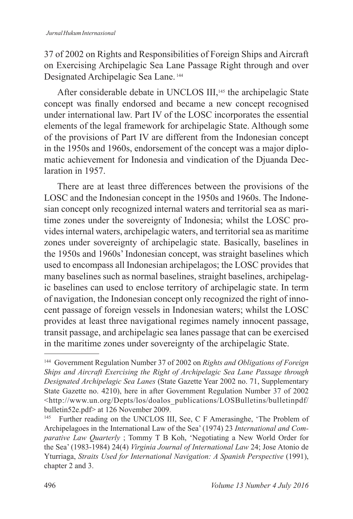37 of 2002 on Rights and Responsibilities of Foreign Ships and Aircraft on Exercising Archipelagic Sea Lane Passage Right through and over Designated Archipelagic Sea Lane.<sup>144</sup>

After considerable debate in UNCLOS III,<sup>145</sup> the archipelagic State concept was finally endorsed and became a new concept recognised under international law. Part IV of the LOSC incorporates the essential elements of the legal framework for archipelagic State. Although some of the provisions of Part IV are different from the Indonesian concept in the 1950s and 1960s, endorsement of the concept was a major diplomatic achievement for Indonesia and vindication of the Djuanda Declaration in 1957.

There are at least three differences between the provisions of the LOSC and the Indonesian concept in the 1950s and 1960s. The Indonesian concept only recognized internal waters and territorial sea as maritime zones under the sovereignty of Indonesia; whilst the LOSC provides internal waters, archipelagic waters, and territorial sea as maritime zones under sovereignty of archipelagic state. Basically, baselines in the 1950s and 1960s' Indonesian concept, was straight baselines which used to encompass all Indonesian archipelagos; the LOSC provides that many baselines such as normal baselines, straight baselines, archipelagic baselines can used to enclose territory of archipelagic state. In term of navigation, the Indonesian concept only recognized the right of innocent passage of foreign vessels in Indonesian waters; whilst the LOSC provides at least three navigational regimes namely innocent passage, transit passage, and archipelagic sea lanes passage that can be exercised in the maritime zones under sovereignty of the archipelagic State.

<sup>144</sup> Government Regulation Number 37 of 2002 on *Rights and Obligations of Foreign Ships and Aircraft Exercising the Right of Archipelagic Sea Lane Passage through Designated Archipelagic Sea Lanes* (State Gazette Year 2002 no. 71, Supplementary State Gazette no. 4210), here in after Government Regulation Number 37 of 2002 <http://www.un.org/Depts/los/doalos\_publications/LOSBulletins/bulletinpdf/ bulletin52e.pdf> at 126 November 2009.<br><sup>145</sup> Eurther reading on the UNCLOS II

Further reading on the UNCLOS III, See, C F Amerasinghe, 'The Problem of Archipelagoes in the International Law of the Sea' (1974) 23 *International and Comparative Law Quarterly* ; Tommy T B Koh, 'Negotiating a New World Order for the Sea' (1983-1984) 24(4) *Virginia Journal of International Law* 24; Jose Atonio de Yturriaga, *Straits Used for International Navigation: A Spanish Perspective* (1991), chapter 2 and 3.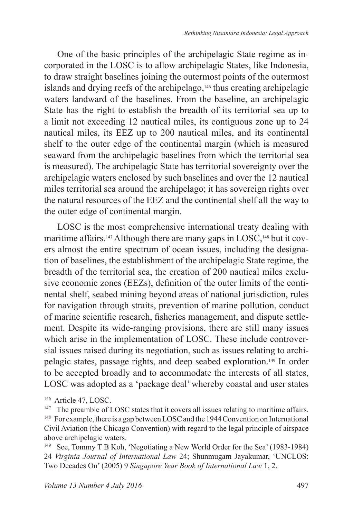One of the basic principles of the archipelagic State regime as incorporated in the LOSC is to allow archipelagic States, like Indonesia, to draw straight baselines joining the outermost points of the outermost islands and drying reefs of the archipelago,146 thus creating archipelagic waters landward of the baselines. From the baseline, an archipelagic State has the right to establish the breadth of its territorial sea up to a limit not exceeding 12 nautical miles, its contiguous zone up to 24 nautical miles, its EEZ up to 200 nautical miles, and its continental shelf to the outer edge of the continental margin (which is measured seaward from the archipelagic baselines from which the territorial sea is measured). The archipelagic State has territorial sovereignty over the archipelagic waters enclosed by such baselines and over the 12 nautical miles territorial sea around the archipelago; it has sovereign rights over the natural resources of the EEZ and the continental shelf all the way to the outer edge of continental margin.

LOSC is the most comprehensive international treaty dealing with maritime affairs.<sup>147</sup> Although there are many gaps in LOSC,<sup>148</sup> but it covers almost the entire spectrum of ocean issues, including the designation of baselines, the establishment of the archipelagic State regime, the breadth of the territorial sea, the creation of 200 nautical miles exclusive economic zones (EEZs), definition of the outer limits of the continental shelf, seabed mining beyond areas of national jurisdiction, rules for navigation through straits, prevention of marine pollution, conduct of marine scientific research, fisheries management, and dispute settlement. Despite its wide-ranging provisions, there are still many issues which arise in the implementation of LOSC. These include controversial issues raised during its negotiation, such as issues relating to archipelagic states, passage rights, and deep seabed exploration.149 In order to be accepted broadly and to accommodate the interests of all states, LOSC was adopted as a 'package deal' whereby coastal and user states

<sup>&</sup>lt;sup>146</sup> Article 47, LOSC.

<sup>&</sup>lt;sup>147</sup> The preamble of LOSC states that it covers all issues relating to maritime affairs. <sup>148</sup> For example, there is a gap between LOSC and the 1944 Convention on International

Civil Aviation (the Chicago Convention) with regard to the legal principle of airspace above archipelagic waters.

<sup>149</sup> See, Tommy T B Koh, 'Negotiating a New World Order for the Sea' (1983-1984) 24 *Virginia Journal of International Law* 24; Shunmugam Jayakumar, 'UNCLOS: Two Decades On' (2005) 9 *Singapore Year Book of International Law* 1, 2.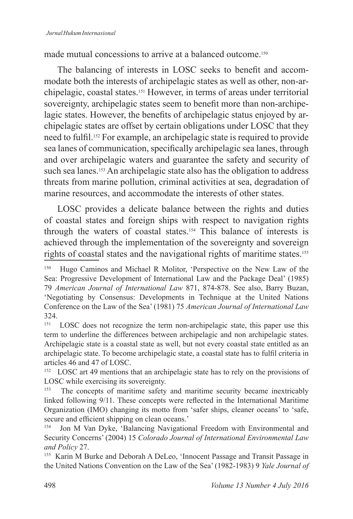made mutual concessions to arrive at a balanced outcome.<sup>150</sup>

The balancing of interests in LOSC seeks to benefit and accommodate both the interests of archipelagic states as well as other, non-archipelagic, coastal states.151 However, in terms of areas under territorial sovereignty, archipelagic states seem to benefit more than non-archipelagic states. However, the benefits of archipelagic status enjoyed by archipelagic states are offset by certain obligations under LOSC that they need to fulfil.152 For example, an archipelagic state is required to provide sea lanes of communication, specifically archipelagic sea lanes, through and over archipelagic waters and guarantee the safety and security of such sea lanes.<sup>153</sup> An archipelagic state also has the obligation to address threats from marine pollution, criminal activities at sea, degradation of marine resources, and accommodate the interests of other states.

LOSC provides a delicate balance between the rights and duties of coastal states and foreign ships with respect to navigation rights through the waters of coastal states.154 This balance of interests is achieved through the implementation of the sovereignty and sovereign rights of coastal states and the navigational rights of maritime states.<sup>155</sup>

<sup>&</sup>lt;sup>150</sup> Hugo Caminos and Michael R Molitor, 'Perspective on the New Law of the Sea: Progressive Development of International Law and the Package Deal' (1985) 79 *American Journal of International Law* 871, 874-878. See also, Barry Buzan, 'Negotiating by Consensus: Developments in Technique at the United Nations Conference on the Law of the Sea' (1981) 75 *American Journal of International Law* 324.

LOSC does not recognize the term non-archipelagic state, this paper use this term to underline the differences between archipelagic and non archipelagic states. Archipelagic state is a coastal state as well, but not every coastal state entitled as an archipelagic state. To become archipelagic state, a coastal state has to fulfil criteria in articles 46 and 47 of LOSC.<br> $^{152}$  LOSC art 49 mentions 1

LOSC art 49 mentions that an archipelagic state has to rely on the provisions of LOSC while exercising its sovereignty.<br><sup>153</sup> The concents of maritime safety.

The concepts of maritime safety and maritime security became inextricably linked following 9/11. These concepts were reflected in the International Maritime Organization (IMO) changing its motto from 'safer ships, cleaner oceans' to 'safe, secure and efficient shipping on clean oceans.'<br><sup>154</sup> Ion M Van Dyke, 'Balancing Navigation

Jon M Van Dyke, 'Balancing Navigational Freedom with Environmental and Security Concerns' (2004) 15 *Colorado Journal of International Environmental Law and Policy* 27.

<sup>155</sup> Karin M Burke and Deborah A DeLeo, 'Innocent Passage and Transit Passage in the United Nations Convention on the Law of the Sea' (1982-1983) 9 *Yale Journal of*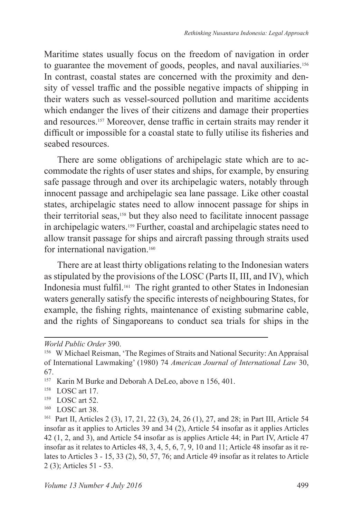Maritime states usually focus on the freedom of navigation in order to guarantee the movement of goods, peoples, and naval auxiliaries.<sup>156</sup> In contrast, coastal states are concerned with the proximity and density of vessel traffic and the possible negative impacts of shipping in their waters such as vessel-sourced pollution and maritime accidents which endanger the lives of their citizens and damage their properties and resources.157 Moreover, dense traffic in certain straits may render it difficult or impossible for a coastal state to fully utilise its fisheries and seabed resources.

There are some obligations of archipelagic state which are to accommodate the rights of user states and ships, for example, by ensuring safe passage through and over its archipelagic waters, notably through innocent passage and archipelagic sea lane passage. Like other coastal states, archipelagic states need to allow innocent passage for ships in their territorial seas,158 but they also need to facilitate innocent passage in archipelagic waters.159 Further, coastal and archipelagic states need to allow transit passage for ships and aircraft passing through straits used for international navigation.<sup>160</sup>

There are at least thirty obligations relating to the Indonesian waters as stipulated by the provisions of the LOSC (Parts II, III, and IV), which Indonesia must fulfil.161 The right granted to other States in Indonesian waters generally satisfy the specific interests of neighbouring States, for example, the fishing rights, maintenance of existing submarine cable, and the rights of Singaporeans to conduct sea trials for ships in the

- LOSC art 52.
- <sup>160</sup> LOSC art 38.

*World Public Order* 390.

<sup>156</sup> W Michael Reisman, 'The Regimes of Straits and National Security: An Appraisal of International Lawmaking' (1980) 74 *American Journal of International Law* 30, 67.

<sup>157</sup> Karin M Burke and Deborah A DeLeo, above n 156, 401.

<sup>&</sup>lt;sup>158</sup> LOSC art 17.

<sup>161</sup> Part II, Articles 2 (3), 17, 21, 22 (3), 24, 26 (1), 27, and 28; in Part III, Article 54 insofar as it applies to Articles 39 and 34 (2), Article 54 insofar as it applies Articles 42 (1, 2, and 3), and Article 54 insofar as is applies Article 44; in Part IV, Article 47 insofar as it relates to Articles 48, 3, 4, 5, 6, 7, 9, 10 and 11; Article 48 insofar as it relates to Articles 3 - 15, 33 (2), 50, 57, 76; and Article 49 insofar as it relates to Article 2 (3); Articles 51 - 53.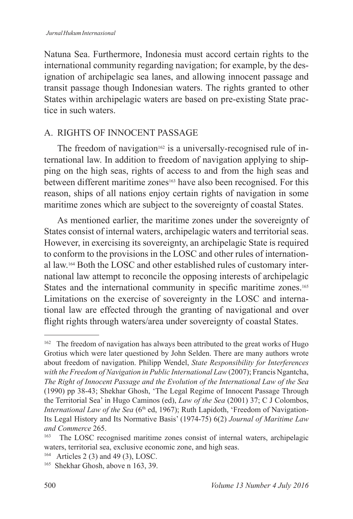Natuna Sea. Furthermore, Indonesia must accord certain rights to the international community regarding navigation; for example, by the designation of archipelagic sea lanes, and allowing innocent passage and transit passage though Indonesian waters. The rights granted to other States within archipelagic waters are based on pre-existing State practice in such waters.

## A. RIGHTS OF INNOCENT PASSAGE

The freedom of navigation<sup>162</sup> is a universally-recognised rule of international law. In addition to freedom of navigation applying to shipping on the high seas, rights of access to and from the high seas and between different maritime zones<sup>163</sup> have also been recognised. For this reason, ships of all nations enjoy certain rights of navigation in some maritime zones which are subject to the sovereignty of coastal States.

As mentioned earlier, the maritime zones under the sovereignty of States consist of internal waters, archipelagic waters and territorial seas. However, in exercising its sovereignty, an archipelagic State is required to conform to the provisions in the LOSC and other rules of international law.164 Both the LOSC and other established rules of customary international law attempt to reconcile the opposing interests of archipelagic States and the international community in specific maritime zones.<sup>165</sup> Limitations on the exercise of sovereignty in the LOSC and international law are effected through the granting of navigational and over flight rights through waters/area under sovereignty of coastal States.

<sup>&</sup>lt;sup>162</sup> The freedom of navigation has always been attributed to the great works of Hugo Grotius which were later questioned by John Selden. There are many authors wrote about freedom of navigation. Philipp Wendel, *State Responsibility for Interferences with the Freedom of Navigation in Public International Law* (2007); Francis Ngantcha, *The Right of Innocent Passage and the Evolution of the International Law of the Sea* (1990) pp 38-43; Shekhar Ghosh, 'The Legal Regime of Innocent Passage Through the Territorial Sea' in Hugo Caminos (ed), *Law of the Sea* (2001) 37; C J Colombos, *International Law of the Sea* (6<sup>th</sup> ed, 1967); Ruth Lapidoth, 'Freedom of Navigation-Its Legal History and Its Normative Basis' (1974-75) 6(2) *Journal of Maritime Law and Commerce* 265.

<sup>163</sup> The LOSC recognised maritime zones consist of internal waters, archipelagic waters, territorial sea, exclusive economic zone, and high seas.

<sup>&</sup>lt;sup>164</sup> Articles 2 (3) and 49 (3), LOSC.

<sup>&</sup>lt;sup>165</sup> Shekhar Ghosh, above n 163, 39.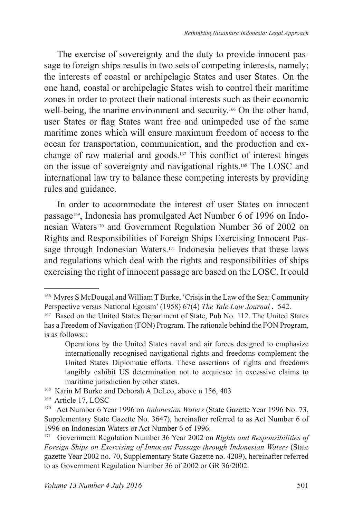The exercise of sovereignty and the duty to provide innocent passage to foreign ships results in two sets of competing interests, namely; the interests of coastal or archipelagic States and user States. On the one hand, coastal or archipelagic States wish to control their maritime zones in order to protect their national interests such as their economic well-being, the marine environment and security.166 On the other hand, user States or flag States want free and unimpeded use of the same maritime zones which will ensure maximum freedom of access to the ocean for transportation, communication, and the production and exchange of raw material and goods.167 This conflict of interest hinges on the issue of sovereignty and navigational rights.168 The LOSC and international law try to balance these competing interests by providing rules and guidance.

In order to accommodate the interest of user States on innocent passage169, Indonesia has promulgated Act Number 6 of 1996 on Indonesian Waters170 and Government Regulation Number 36 of 2002 on Rights and Responsibilities of Foreign Ships Exercising Innocent Passage through Indonesian Waters.171 Indonesia believes that these laws and regulations which deal with the rights and responsibilities of ships exercising the right of innocent passage are based on the LOSC. It could

<sup>166</sup> Myres S McDougal and William T Burke, 'Crisis in the Law of the Sea: Community Perspective versus National Egoism' (1958) 67(4) *The Yale Law Journal* , 542.

<sup>167</sup> Based on the United States Department of State, Pub No. 112. The United States has a Freedom of Navigation (FON) Program. The rationale behind the FON Program, is as follows::

Operations by the United States naval and air forces designed to emphasize internationally recognised navigational rights and freedoms complement the United States Diplomatic efforts. These assertions of rights and freedoms tangibly exhibit US determination not to acquiesce in excessive claims to maritime jurisdiction by other states.

<sup>&</sup>lt;sup>168</sup> Karin M Burke and Deborah A DeLeo, above n 156, 403

<sup>169</sup> Article 17, LOSC

<sup>170</sup> Act Number 6 Year 1996 on *Indonesian Waters* (State Gazette Year 1996 No. 73, Supplementary State Gazette No. 3647), hereinafter referred to as Act Number 6 of 1996 on Indonesian Waters or Act Number 6 of 1996.

<sup>171</sup> Government Regulation Number 36 Year 2002 on *Rights and Responsibilities of Foreign Ships on Exercising of Innocent Passage through Indonesian Waters* (State gazette Year 2002 no. 70, Supplementary State Gazette no. 4209), hereinafter referred to as Government Regulation Number 36 of 2002 or GR 36/2002.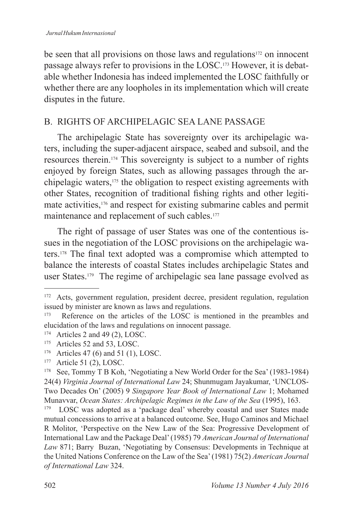be seen that all provisions on those laws and regulations<sup>172</sup> on innocent passage always refer to provisions in the LOSC.173 However, it is debatable whether Indonesia has indeed implemented the LOSC faithfully or whether there are any loopholes in its implementation which will create disputes in the future.

# B. RIGHTS OF ARCHIPELAGIC SEA LANE PASSAGE

The archipelagic State has sovereignty over its archipelagic waters, including the super-adjacent airspace, seabed and subsoil, and the resources therein.174 This sovereignty is subject to a number of rights enjoyed by foreign States, such as allowing passages through the archipelagic waters,175 the obligation to respect existing agreements with other States, recognition of traditional fishing rights and other legitimate activities,176 and respect for existing submarine cables and permit maintenance and replacement of such cables.<sup>177</sup>

The right of passage of user States was one of the contentious issues in the negotiation of the LOSC provisions on the archipelagic waters.178 The final text adopted was a compromise which attempted to balance the interests of coastal States includes archipelagic States and user States.179 The regime of archipelagic sea lane passage evolved as

<sup>172</sup> Acts, government regulation, president decree, president regulation, regulation issued by minister are known as laws and regulations.<br> $^{173}$  Reference on the articles of the LOSC is means

Reference on the articles of the LOSC is mentioned in the preambles and elucidation of the laws and regulations on innocent passage.

<sup>&</sup>lt;sup>174</sup> Articles 2 and 49 (2), LOSC.<br><sup>175</sup> Articles 52 and 53 LOSC.

Articles 52 and 53, LOSC.

<sup>176</sup> Articles 47 (6) and 51 (1), LOSC.

<sup>&</sup>lt;sup>177</sup> Article 51 (2), LOSC.<br><sup>178</sup> See Tommy T B Koh

See, Tommy T B Koh, 'Negotiating a New World Order for the Sea' (1983-1984) 24(4) *Virginia Journal of International Law* 24; Shunmugam Jayakumar, 'UNCLOS-Two Decades On' (2005) 9 *Singapore Year Book of International Law* 1; Mohamed Munavvar, *Ocean States: Archipelagic Regimes in the Law of the Sea* (1995), 163.

LOSC was adopted as a 'package deal' whereby coastal and user States made mutual concessions to arrive at a balanced outcome. See, Hugo Caminos and Michael R Molitor, 'Perspective on the New Law of the Sea: Progressive Development of International Law and the Package Deal' (1985) 79 *American Journal of International Law* 871; Barry Buzan, 'Negotiating by Consensus: Developments in Technique at the United Nations Conference on the Law of the Sea' (1981) 75(2) *American Journal of International Law* 324.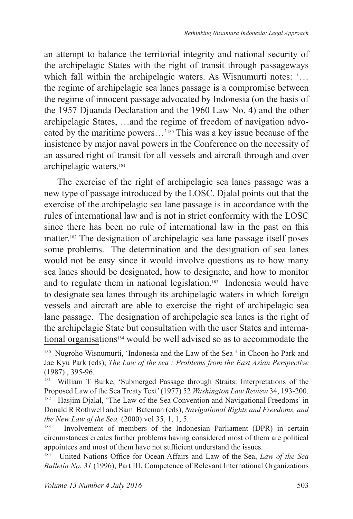an attempt to balance the territorial integrity and national security of the archipelagic States with the right of transit through passageways which fall within the archipelagic waters. As Wisnumurti notes: '... the regime of archipelagic sea lanes passage is a compromise between the regime of innocent passage advocated by Indonesia (on the basis of the 1957 Djuanda Declaration and the 1960 Law No. 4) and the other archipelagic States, …and the regime of freedom of navigation advocated by the maritime powers…'180 This was a key issue because of the insistence by major naval powers in the Conference on the necessity of an assured right of transit for all vessels and aircraft through and over archipelagic waters.<sup>181</sup>

The exercise of the right of archipelagic sea lanes passage was a new type of passage introduced by the LOSC. Djalal points out that the exercise of the archipelagic sea lane passage is in accordance with the rules of international law and is not in strict conformity with the LOSC since there has been no rule of international law in the past on this matter.182 The designation of archipelagic sea lane passage itself poses some problems. The determination and the designation of sea lanes would not be easy since it would involve questions as to how many sea lanes should be designated, how to designate, and how to monitor and to regulate them in national legislation.183 Indonesia would have to designate sea lanes through its archipelagic waters in which foreign vessels and aircraft are able to exercise the right of archipelagic sea lane passage. The designation of archipelagic sea lanes is the right of the archipelagic State but consultation with the user States and international organisations184 would be well advised so as to accommodate the

<sup>181</sup> William T Burke, 'Submerged Passage through Straits: Interpretations of the Proposed Law of the Sea Treaty Text' (1977) 52 *Washington Law Review* 34, 193-200.

<sup>182</sup> Hasjim Djalal, 'The Law of the Sea Convention and Navigational Freedoms' in Donald R Rothwell and Sam Bateman (eds), *Navigational Rights and Freedoms, and the New Law of the Sea,* (2000) vol 35, 1, 1, 5.<br><sup>183</sup> **Involvement** of members of the Indo-

Involvement of members of the Indonesian Parliament (DPR) in certain circumstances creates further problems having considered most of them are political appointees and most of them have not sufficient understand the issues.

<sup>184</sup> United Nations Office for Ocean Affairs and Law of the Sea, *Law of the Sea Bulletin No. 31* (1996), Part III, Competence of Relevant International Organizations

<sup>180</sup> Nugroho Wisnumurti, 'Indonesia and the Law of the Sea ' in Choon-ho Park and Jae Kyu Park (eds), *The Law of the sea : Problems from the East Asian Perspective*  (1987) , 395-96.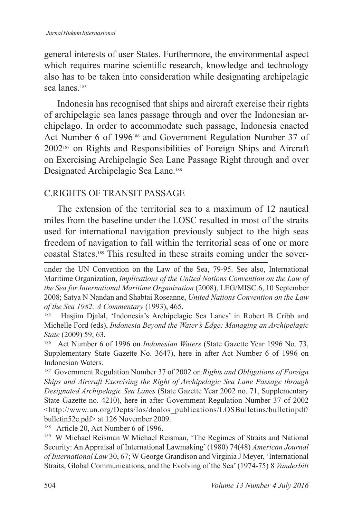general interests of user States. Furthermore, the environmental aspect which requires marine scientific research, knowledge and technology also has to be taken into consideration while designating archipelagic sea lanes<sup>185</sup>

Indonesia has recognised that ships and aircraft exercise their rights of archipelagic sea lanes passage through and over the Indonesian archipelago. In order to accommodate such passage, Indonesia enacted Act Number 6 of 1996<sup>186</sup> and Government Regulation Number 37 of 2002187 on Rights and Responsibilities of Foreign Ships and Aircraft on Exercising Archipelagic Sea Lane Passage Right through and over Designated Archipelagic Sea Lane.<sup>188</sup>

### C.RIGHTS OF TRANSIT PASSAGE

The extension of the territorial sea to a maximum of 12 nautical miles from the baseline under the LOSC resulted in most of the straits used for international navigation previously subject to the high seas freedom of navigation to fall within the territorial seas of one or more coastal States.189 This resulted in these straits coming under the sover-

Hasjim Djalal, 'Indonesia's Archipelagic Sea Lanes' in Robert B Cribb and Michelle Ford (eds), *Indonesia Beyond the Water's Edge: Managing an Archipelagic State* (2009) 59, 63.

<sup>186</sup> Act Number 6 of 1996 on *Indonesian Waters* (State Gazette Year 1996 No. 73, Supplementary State Gazette No. 3647), here in after Act Number 6 of 1996 on Indonesian Waters.

<sup>187</sup> Government Regulation Number 37 of 2002 on *Rights and Obligations of Foreign Ships and Aircraft Exercising the Right of Archipelagic Sea Lane Passage through Designated Archipelagic Sea Lanes* (State Gazette Year 2002 no. 71, Supplementary State Gazette no. 4210), here in after Government Regulation Number 37 of 2002 <http://www.un.org/Depts/los/doalos\_publications/LOSBulletins/bulletinpdf/ bulletin52e.pdf> at 126 November 2009.<br> $188$  Article 20, Act Number 6 of 1996

Article 20, Act Number 6 of 1996.

<sup>189</sup> W Michael Reisman W Michael Reisman, 'The Regimes of Straits and National Security: An Appraisal of International Lawmaking' (1980) 74(48) *American Journal of International Law* 30, 67; W George Grandison and Virginia J Meyer, 'International Straits, Global Communications, and the Evolving of the Sea' (1974-75) 8 *Vanderbilt* 

under the UN Convention on the Law of the Sea, 79-95. See also, International Maritime Organization, *Implications of the United Nations Convention on the Law of the Sea for International Maritime Organization* (2008), LEG/MISC.6, 10 September 2008; Satya N Nandan and Shabtai Roseanne, *United Nations Convention on the Law of the Sea 1982: A Commentary* (1993), 465.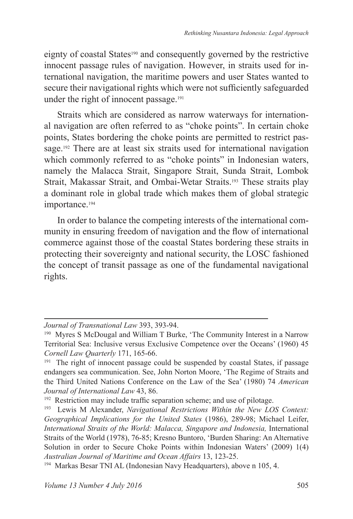eignty of coastal States<sup>190</sup> and consequently governed by the restrictive innocent passage rules of navigation. However, in straits used for international navigation, the maritime powers and user States wanted to secure their navigational rights which were not sufficiently safeguarded under the right of innocent passage.<sup>191</sup>

Straits which are considered as narrow waterways for international navigation are often referred to as "choke points". In certain choke points, States bordering the choke points are permitted to restrict passage.192 There are at least six straits used for international navigation which commonly referred to as "choke points" in Indonesian waters, namely the Malacca Strait, Singapore Strait, Sunda Strait, Lombok Strait, Makassar Strait, and Ombai-Wetar Straits.193 These straits play a dominant role in global trade which makes them of global strategic importance.<sup>194</sup>

In order to balance the competing interests of the international community in ensuring freedom of navigation and the flow of international commerce against those of the coastal States bordering these straits in protecting their sovereignty and national security, the LOSC fashioned the concept of transit passage as one of the fundamental navigational rights.

*Journal of Transnational Law* 393, 393-94.

<sup>190</sup> Myres S McDougal and William T Burke, 'The Community Interest in a Narrow Territorial Sea: Inclusive versus Exclusive Competence over the Oceans' (1960) 45 *Cornell Law Quarterly* 171, 165-66.

<sup>&</sup>lt;sup>191</sup> The right of innocent passage could be suspended by coastal States, if passage endangers sea communication. See, John Norton Moore, 'The Regime of Straits and the Third United Nations Conference on the Law of the Sea' (1980) 74 *American Journal of International Law* 43, 86.

<sup>&</sup>lt;sup>192</sup> Restriction may include traffic separation scheme; and use of pilotage.

<sup>193</sup> Lewis M Alexander, *Navigational Restrictions Within the New LOS Context: Geographical Implications for the United States* (1986), 289-98; Michael Leifer, International Straits of the World: Malacca, Singapore and Indonesia, International Straits of the World (1978), 76-85; Kresno Buntoro, 'Burden Sharing: An Alternative Solution in order to Secure Choke Points within Indonesian Waters' (2009) 1(4) *Australian Journal of Maritime and Ocean Affairs* 13, 123-25.

<sup>194</sup> Markas Besar TNI AL (Indonesian Navy Headquarters), above n 105, 4.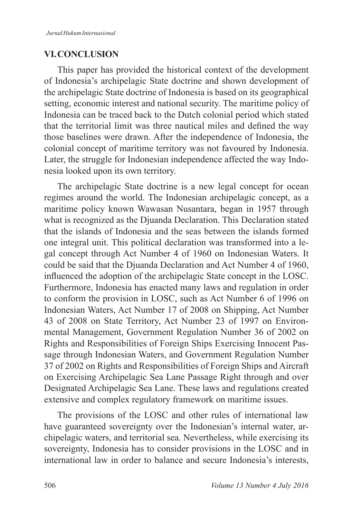### **VI . CONCLUSION**

This paper has provided the historical context of the development of Indonesia's archipelagic State doctrine and shown development of the archipelagic State doctrine of Indonesia is based on its geographical setting, economic interest and national security. The maritime policy of Indonesia can be traced back to the Dutch colonial period which stated that the territorial limit was three nautical miles and defined the way those baselines were drawn. After the independence of Indonesia, the colonial concept of maritime territory was not favoured by Indonesia. Later, the struggle for Indonesian independence affected the way Indonesia looked upon its own territory.

The archipelagic State doctrine is a new legal concept for ocean regimes around the world. The Indonesian archipelagic concept, as a maritime policy known Wawasan Nusantara, began in 1957 through what is recognized as the Djuanda Declaration. This Declaration stated that the islands of Indonesia and the seas between the islands formed one integral unit. This political declaration was transformed into a legal concept through Act Number 4 of 1960 on Indonesian Waters. It could be said that the Djuanda Declaration and Act Number 4 of 1960, influenced the adoption of the archipelagic State concept in the LOSC. Furthermore, Indonesia has enacted many laws and regulation in order to conform the provision in LOSC, such as Act Number 6 of 1996 on Indonesian Waters, Act Number 17 of 2008 on Shipping, Act Number 43 of 2008 on State Territory, Act Number 23 of 1997 on Environmental Management, Government Regulation Number 36 of 2002 on Rights and Responsibilities of Foreign Ships Exercising Innocent Passage through Indonesian Waters, and Government Regulation Number 37 of 2002 on Rights and Responsibilities of Foreign Ships and Aircraft on Exercising Archipelagic Sea Lane Passage Right through and over Designated Archipelagic Sea Lane. These laws and regulations created extensive and complex regulatory framework on maritime issues.

The provisions of the LOSC and other rules of international law have guaranteed sovereignty over the Indonesian's internal water, archipelagic waters, and territorial sea. Nevertheless, while exercising its sovereignty, Indonesia has to consider provisions in the LOSC and in international law in order to balance and secure Indonesia's interests,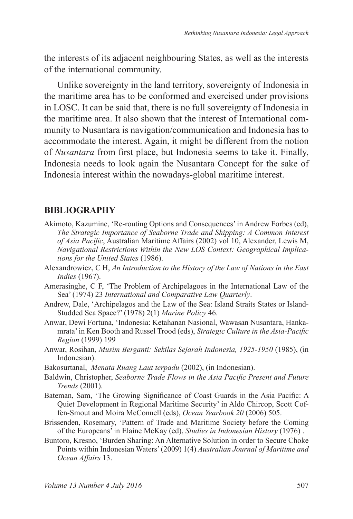the interests of its adjacent neighbouring States, as well as the interests of the international community.

Unlike sovereignty in the land territory, sovereignty of Indonesia in the maritime area has to be conformed and exercised under provisions in LOSC. It can be said that, there is no full sovereignty of Indonesia in the maritime area. It also shown that the interest of International community to Nusantara is navigation/communication and Indonesia has to accommodate the interest. Again, it might be different from the notion of *Nusantara* from first place, but Indonesia seems to take it. Finally, Indonesia needs to look again the Nusantara Concept for the sake of Indonesia interest within the nowadays-global maritime interest.

#### **BIBLIOGRAPHY**

- Akimoto, Kazumine, 'Re-routing Options and Consequences' in Andrew Forbes (ed), *The Strategic Importance of Seaborne Trade and Shipping: A Common Interest of Asia Pacific*, Australian Maritime Affairs (2002) vol 10, Alexander, Lewis M, *Navigational Restrictions Within the New LOS Context: Geographical Implications for the United States* (1986).
- Alexandrowicz, C H, *An Introduction to the History of the Law of Nations in the East Indies* (1967).
- Amerasinghe, C F, 'The Problem of Archipelagoes in the International Law of the Sea' (1974) 23 *International and Comparative Law Quarterly*.
- Andrew, Dale, 'Archipelagos and the Law of the Sea: Island Straits States or Island-Studded Sea Space?' (1978) 2(1) *Marine Policy* 46.
- Anwar, Dewi Fortuna, 'Indonesia: Ketahanan Nasional, Wawasan Nusantara, Hankamrata' in Ken Booth and Russel Trood (eds), *Strategic Culture in the Asia-Pacific Region* (1999) 199
- Anwar, Rosihan, *Musim Berganti: Sekilas Sejarah Indonesia, 1925-1950* (1985), (in Indonesian).
- Bakosurtanal, *Menata Ruang Laut terpadu* (2002), (in Indonesian).
- Baldwin, Christopher, *Seaborne Trade Flows in the Asia Pacific Present and Future Trends* (2001).
- Bateman, Sam, 'The Growing Significance of Coast Guards in the Asia Pacific: A Quiet Development in Regional Maritime Security' in Aldo Chircop, Scott Coffen-Smout and Moira McConnell (eds), *Ocean Yearbook 20* (2006) 505.
- Brissenden, Rosemary, 'Pattern of Trade and Maritime Society before the Coming of the Europeans' in Elaine McKay (ed), *Studies in Indonesian History* (1976) .
- Buntoro, Kresno, 'Burden Sharing: An Alternative Solution in order to Secure Choke Points within Indonesian Waters' (2009) 1(4) *Australian Journal of Maritime and Ocean Affairs* 13.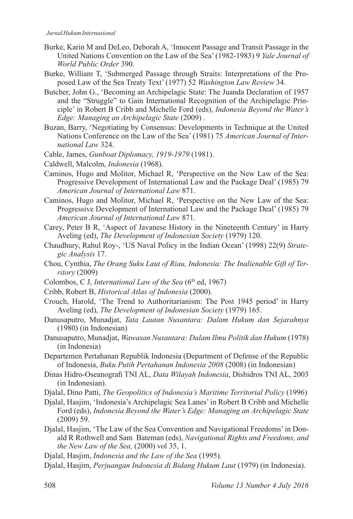- Burke, Karin M and DeLeo, Deborah A, 'Innocent Passage and Transit Passage in the United Nations Convention on the Law of the Sea' (1982-1983) 9 *Yale Journal of World Public Order* 390.
- Burke, William T, 'Submerged Passage through Straits: Interpretations of the Proposed Law of the Sea Treaty Text' (1977) 52 *Washington Law Review* 34.
- Butcher, John G., 'Becoming an Archipelagic State: The Juanda Declaration of 1957 and the "Struggle" to Gain International Recognition of the Archipelagic Principle' in Robert B Cribb and Michelle Ford (eds), *Indonesia Beyond the Water's Edge: Managing an Archipelagic State* (2009) .
- Buzan, Barry, 'Negotiating by Consensus: Developments in Technique at the United Nations Conference on the Law of the Sea' (1981) 75 *American Journal of International Law* 324.
- Cable, James, *Gunboat Diplomacy, 1919-1979* (1981).
- Caldwell, Malcolm, *Indonesia* (1968).
- Caminos, Hugo and Molitor, Michael R, 'Perspective on the New Law of the Sea: Progressive Development of International Law and the Package Deal' (1985) 79 *American Journal of International Law* 871.
- Caminos, Hugo and Molitor, Michael R, 'Perspective on the New Law of the Sea: Progressive Development of International Law and the Package Deal' (1985) 79 *American Journal of International Law* 871.
- Carey, Peter B R, 'Aspect of Javanese History in the Nineteenth Century' in Harry Aveling (ed), *The Development of Indonesian Society* (1979) 120.
- Chaudhury, Rahul Roy-, 'US Naval Policy in the Indian Ocean' (1998) 22(9) *Strategic Analysis* 17.
- Chou, Cynthia, *The Orang Suku Laut of Riau, Indonesia: The Inalienable Gift of Territory* (2009)
- Colombos, C J, *International Law of the Sea* (6<sup>th</sup> ed, 1967)
- Cribb, Robert B, *Historical Atlas of Indonesia* (2000).
- Crouch, Harold, 'The Trend to Authoritarianism: The Post 1945 period' in Harry Aveling (ed), *The Development of Indonesian Society* (1979) 165.
- Danusaputro, Munadjat, *Tata Lautan Nusantara: Dalam Hukum dan Sejarahnya* (1980) (in Indonesian)
- Danusaputro, Munadjat, *Wawasan Nusantara: Dalam Ilmu Politik dan Hukum* (1978) (in Indonesia)
- Departemen Pertahanan Republik Indonesia (Department of Defense of the Republic of Indonesia, *Buku Putih Pertahanan Indonesia 2008* (2008) (in Indonesian)
- Dinas Hidro-Oseanografi TNI AL, *Data Wilayah Indonesia*, Dishidros TNI AL, 2003 (in Indonesian).
- Djalal, Dino Patti, *The Geopolitics of Indonesia's Maritime Territorial Policy* (1996)
- Djalal, Hasjim, 'Indonesia's Archipelagic Sea Lanes' in Robert B Cribb and Michelle Ford (eds), *Indonesia Beyond the Water's Edge: Managing an Archipelagic State* (2009) 59.
- Djalal, Hasjim, 'The Law of the Sea Convention and Navigational Freedoms' in Donald R Rothwell and Sam Bateman (eds), *Navigational Rights and Freedoms, and the New Law of the Sea,* (2000) vol 35, 1.
- Djalal, Hasjim, *Indonesia and the Law of the Sea* (1995).
- Djalal, Hasjim, *Perjuangan Indonesia di Bidang Hukum Laut* (1979) (in Indonesia).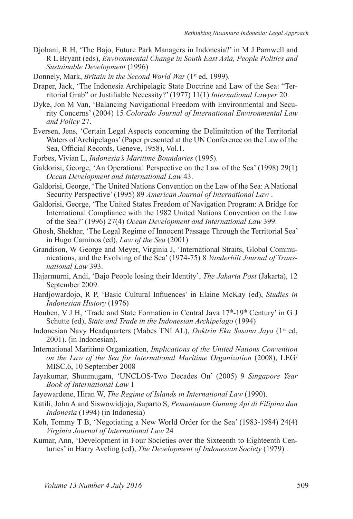- Djohani, R H, 'The Bajo, Future Park Managers in Indonesia?' in M J Parnwell and R L Bryant (eds), *Environmental Change in South East Asia, People Politics and Sustainable Development* (1996)
- Donnely, Mark, *Britain in the Second World War* (1<sup>st</sup> ed, 1999).
- Draper, Jack, 'The Indonesia Archipelagic State Doctrine and Law of the Sea: "Territorial Grab" or Justifiable Necessity?' (1977) 11(1) *International Lawyer* 20.
- Dyke, Jon M Van, 'Balancing Navigational Freedom with Environmental and Security Concerns' (2004) 15 *Colorado Journal of International Environmental Law and Policy* 27.
- Eversen, Jens, 'Certain Legal Aspects concerning the Delimitation of the Territorial Waters of Archipelagos' (Paper presented at the UN Conference on the Law of the Sea, Official Records, Geneve, 1958), Vol.1.
- Forbes, Vivian L, *Indonesia's Maritime Boundaries* (1995).
- Galdorisi, George, 'An Operational Perspective on the Law of the Sea' (1998) 29(1) *Ocean Development and International Law* 43.
- Galdorisi, George, 'The United Nations Convention on the Law of the Sea: A National Security Perspective' (1995) 89 *American Journal of International Law* .
- Galdorisi, George, 'The United States Freedom of Navigation Program: A Bridge for International Compliance with the 1982 United Nations Convention on the Law of the Sea?' (1996) 27(4) *Ocean Development and International Law* 399.
- Ghosh, Shekhar, 'The Legal Regime of Innocent Passage Through the Territorial Sea' in Hugo Caminos (ed), *Law of the Sea* (2001)
- Grandison, W George and Meyer, Virginia J, 'International Straits, Global Communications, and the Evolving of the Sea' (1974-75) 8 *Vanderbilt Journal of Transnational Law* 393.
- Hajarmurni, Andi, 'Bajo People losing their Identity', *The Jakarta Post* (Jakarta), 12 September 2009.
- Hardjowardojo, R P, 'Basic Cultural Influences' in Elaine McKay (ed), *Studies in Indonesian History* (1976)
- Houben, V J H, 'Trade and State Formation in Central Java 17<sup>th</sup>-19<sup>th</sup> Century' in G J Schutte (ed), *State and Trade in the Indonesian Archipelago* (1994)
- Indonesian Navy Headquarters (Mabes TNI AL), *Doktrin Eka Sasana Jaya* (1st ed, 2001). (in Indonesian).
- International Maritime Organization, *Implications of the United Nations Convention on the Law of the Sea for International Maritime Organization* (2008), LEG/ MISC.6, 10 September 2008
- Jayakumar, Shunmugam, 'UNCLOS-Two Decades On' (2005) 9 *Singapore Year Book of International Law* 1
- Jayewardene, Hiran W, *The Regime of Islands in International Law* (1990).
- Katili, John A and Siswowidjojo, Suparto S, *Pemantauan Gunung Api di Filipina dan Indonesia* (1994) (in Indonesia)
- Koh, Tommy T B, 'Negotiating a New World Order for the Sea' (1983-1984) 24(4) *Virginia Journal of International Law* 24
- Kumar, Ann, 'Development in Four Societies over the Sixteenth to Eighteenth Centuries' in Harry Aveling (ed), *The Development of Indonesian Society* (1979) .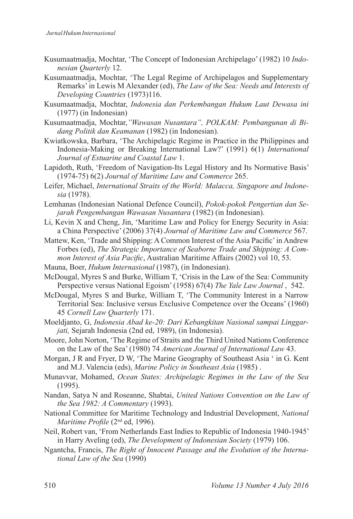- Kusumaatmadja, Mochtar, 'The Concept of Indonesian Archipelago' (1982) 10 *Indonesian Quarterly* 12.
- Kusumaatmadja, Mochtar, 'The Legal Regime of Archipelagos and Supplementary Remarks' in Lewis M Alexander (ed), *The Law of the Sea: Needs and Interests of Developing Countries* (1973)116.
- Kusumaatmadja, Mochtar, *Indonesia dan Perkembangan Hukum Laut Dewasa ini* (1977) (in Indonesian)
- Kusumaatmadja, Mochtar,*"Wawasan Nusantara", POLKAM: Pembangunan di Bidang Politik dan Keamanan* (1982) (in Indonesian).
- Kwiatkowska, Barbara, 'The Archipelagic Regime in Practice in the Philippines and Indonesia-Making or Breaking International Law?' (1991) 6(1) *International Journal of Estuarine and Coastal Law* 1.
- Lapidoth, Ruth, 'Freedom of Navigation-Its Legal History and Its Normative Basis' (1974-75) 6(2) *Journal of Maritime Law and Commerce* 265.
- Leifer, Michael, *International Straits of the World: Malacca, Singapore and Indonesia* (1978).
- Lemhanas (Indonesian National Defence Council), *Pokok-pokok Pengertian dan Sejarah Pengembangan Wawasan Nusantara* (1982) (in Indonesian).
- Li, Kevin X and Cheng, Jin, 'Maritime Law and Policy for Energy Security in Asia: a China Perspective' (2006) 37(4) *Journal of Maritime Law and Commerce* 567.
- Mattew, Ken, 'Trade and Shipping: A Common Interest of the Asia Pacific' in Andrew Forbes (ed), *The Strategic Importance of Seaborne Trade and Shipping: A Common Interest of Asia Pacific*, Australian Maritime Affairs (2002) vol 10, 53.
- Mauna, Boer, *Hukum Internasional* (1987), (in Indonesian).
- McDougal, Myres S and Burke, William T, 'Crisis in the Law of the Sea: Community Perspective versus National Egoism' (1958) 67(4) *The Yale Law Journal* , 542.
- McDougal, Myres S and Burke, William T, 'The Community Interest in a Narrow Territorial Sea: Inclusive versus Exclusive Competence over the Oceans' (1960) 45 *Cornell Law Quarterly* 171.
- Moeldjanto, G, *Indonesia Abad ke-20: Dari Kebangkitan Nasional sampai Linggarjati,* Sejarah Indonesia (2nd ed, 1989), (in Indonesia).
- Moore, John Norton, 'The Regime of Straits and the Third United Nations Conference on the Law of the Sea' (1980) 74 *American Journal of International Law* 43.
- Morgan, J R and Fryer, D W, 'The Marine Geography of Southeast Asia ' in G. Kent and M.J. Valencia (eds), *Marine Policy in Southeast Asia* (1985) .
- Munavvar, Mohamed, *Ocean States: Archipelagic Regimes in the Law of the Sea* (1995).
- Nandan, Satya N and Roseanne, Shabtai, *United Nations Convention on the Law of the Sea 1982: A Commentary* (1993).
- National Committee for Maritime Technology and Industrial Development, *National Maritime Profile* (2nd ed, 1996).
- Neil, Robert van, 'From Netherlands East Indies to Republic of Indonesia 1940-1945' in Harry Aveling (ed), *The Development of Indonesian Society* (1979) 106.
- Ngantcha, Francis, *The Right of Innocent Passage and the Evolution of the International Law of the Sea* (1990)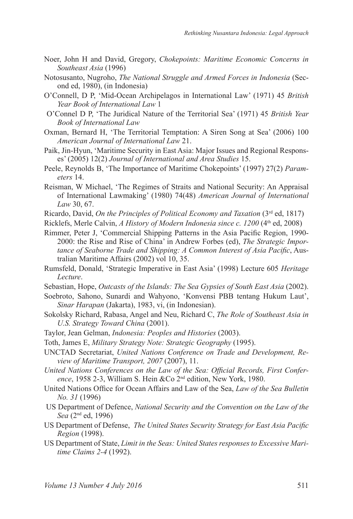- Noer, John H and David, Gregory, *Chokepoints: Maritime Economic Concerns in Southeast Asia* (1996)
- Notosusanto, Nugroho, *The National Struggle and Armed Forces in Indonesia* (Second ed, 1980), (in Indonesia)
- O'Connell, D P, 'Mid-Ocean Archipelagos in International Law' (1971) 45 *British Year Book of International Law* 1
- O'Connel D P, 'The Juridical Nature of the Territorial Sea' (1971) 45 *British Year Book of International Law*
- Oxman, Bernard H, 'The Territorial Temptation: A Siren Song at Sea' (2006) 100 *American Journal of International Law* 21.
- Paik, Jin-Hyun, 'Maritime Security in East Asia: Major Issues and Regional Responses' (2005) 12(2) *Journal of International and Area Studies* 15.
- Peele, Reynolds B, 'The Importance of Maritime Chokepoints' (1997) 27(2) *Parameters* 14.
- Reisman, W Michael, 'The Regimes of Straits and National Security: An Appraisal of International Lawmaking' (1980) 74(48) *American Journal of International Law* 30, 67.
- Ricardo, David, *On the Principles of Political Economy and Taxation* (3rd ed, 1817)
- Ricklefs, Merle Calvin, *A History of Modern Indonesia since c. 1200* (4th ed, 2008)
- Rimmer, Peter J, 'Commercial Shipping Patterns in the Asia Pacific Region, 1990- 2000: the Rise and Rise of China' in Andrew Forbes (ed), *The Strategic Importance of Seaborne Trade and Shipping: A Common Interest of Asia Pacific*, Australian Maritime Affairs (2002) vol 10, 35.
- Rumsfeld, Donald, 'Strategic Imperative in East Asia' (1998) Lecture 605 *Heritage Lecture*.
- Sebastian, Hope, *Outcasts of the Islands: The Sea Gypsies of South East Asia* (2002).
- Soebroto, Sahono, Sunardi and Wahyono, 'Konvensi PBB tentang Hukum Laut', *Sinar Harapan* (Jakarta), 1983, vi, (in Indonesian).
- Sokolsky Richard, Rabasa, Angel and Neu, Richard C, *The Role of Southeast Asia in U.S. Strategy Toward China* (2001).
- Taylor, Jean Gelman, *Indonesia: Peoples and Histories* (2003).
- Toth, James E, *Military Strategy Note: Strategic Geography* (1995).
- UNCTAD Secretariat, *United Nations Conference on Trade and Development, Review of Maritime Transport, 2007* (2007), 11.
- *United Nations Conferences on the Law of the Sea: Official Records, First Conference*, 1958 2-3, William S. Hein &Co 2nd edition, New York, 1980.
- United Nations Office for Ocean Affairs and Law of the Sea, *Law of the Sea Bulletin No. 31* (1996)
- US Department of Defence, *National Security and the Convention on the Law of the Sea* (2nd ed, 1996)
- US Department of Defense, *The United States Security Strategy for East Asia Pacific Region* (1998).
- US Department of State, *Limit in the Seas: United States responses to Excessive Maritime Claims 2-4* (1992).